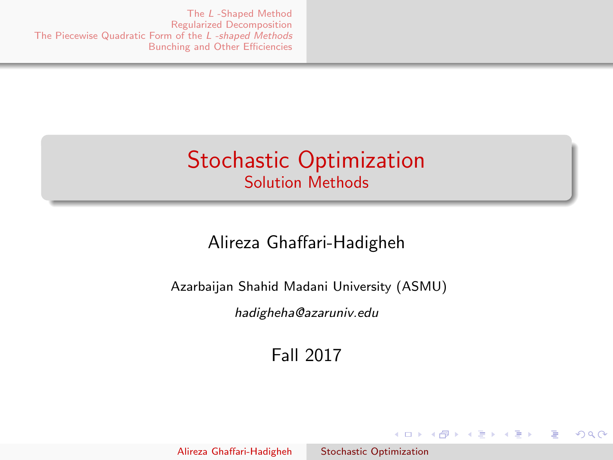### <span id="page-0-0"></span>Stochastic Optimization Solution Methods

### Alireza Ghaffari-Hadigheh

Azarbaijan Shahid Madani University (ASMU)

hadigheha@azaruniv.edu

Fall 2017

イロメ イ母メ イヨメ イヨメ

 $2990$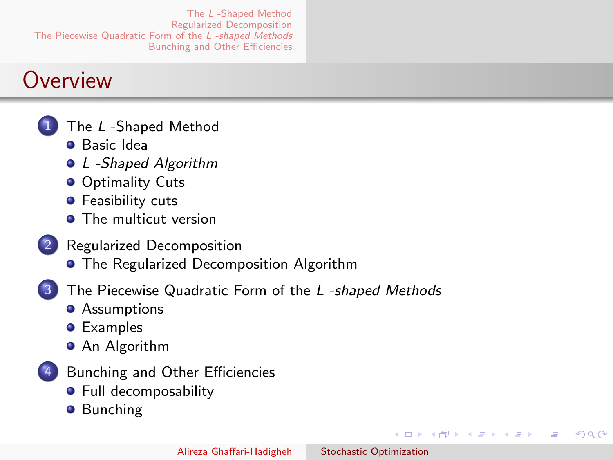### <span id="page-1-0"></span>**Overview**

- The L[-Shaped Method](#page-2-0)
	- [Basic Idea](#page-2-0)
	- [L -Shaped Algorithm](#page-5-0)
	- **[Optimality Cuts](#page-8-0)**
	- **•** [Feasibility cuts](#page-20-0)
	- **[The multicut version](#page-25-0)**
- [Regularized Decomposition](#page-29-0)
	- **[The Regularized Decomposition Algorithm](#page-29-0)**
- [The Piecewise Quadratic Form of the](#page-34-0) L-shaped Methods
	- **•** [Assumptions](#page-34-0)
	- **•** [Examples](#page-36-0)
	- **•** [An Algorithm](#page-40-0)
- [Bunching and Other Efficiencies](#page-41-0)
	- **•** [Full decomposability](#page-43-0)
	- **•** [Bunching](#page-46-0)

4 0 8

→ 何 ▶ → 手 ▶

**ALCOHOL:** 

 $200$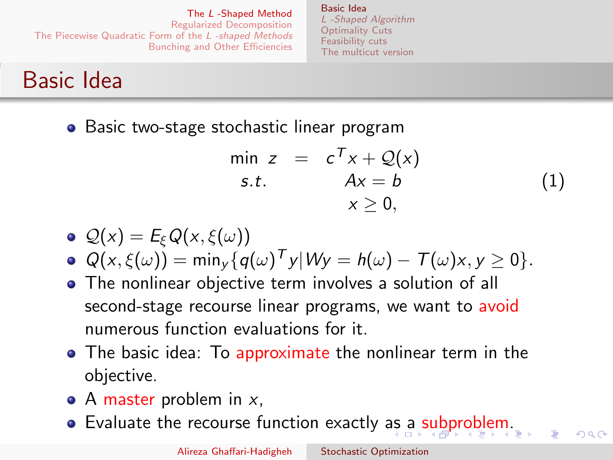[Basic Idea](#page-2-0) [L -Shaped Algorithm](#page-5-0) [Optimality Cuts](#page-8-0) [Feasibility cuts](#page-20-0) [The multicut version](#page-25-0)

# <span id="page-2-0"></span>Basic Idea

• Basic two-stage stochastic linear program

$$
\min z = c^T x + Q(x) \ns.t. \quad Ax = b \quad x \ge 0,
$$
\n(1)

$$
\bullet \ \mathcal{Q}(x) = E_{\xi} Q(x, \xi(\omega))
$$

 $Q(x,\xi(\omega)) = \min_{y} \{q(\omega)^{T} y | Wy = h(\omega) - T(\omega)x, y \ge 0\}.$ 

- The nonlinear objective term involves a solution of all second-stage recourse linear programs, we want to avoid numerous function evaluations for it.
- The basic idea: To approximate the nonlinear term in the objective.
- $\bullet$  A master problem in x,
- Evaluate the recourse function exactly [as](#page-1-0) a [s](#page-3-0)[u](#page-1-0)[bp](#page-2-0)[r](#page-3-0)[o](#page-1-0)[b](#page-2-0)[l](#page-4-0)[e](#page-5-0)[m](#page-1-0)[.](#page-2-0)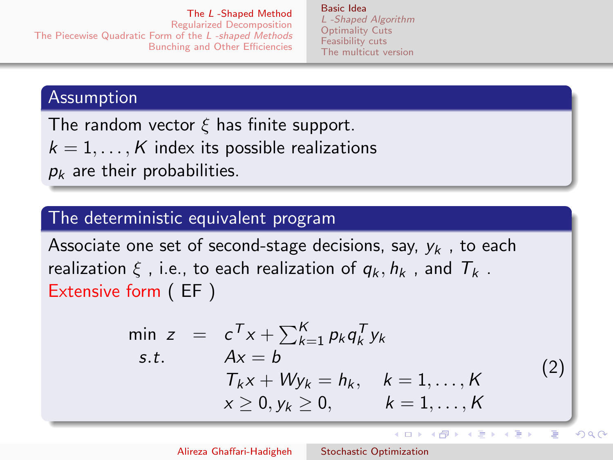[Basic Idea](#page-2-0) [L -Shaped Algorithm](#page-5-0) [Optimality Cuts](#page-8-0) [Feasibility cuts](#page-20-0) [The multicut version](#page-25-0)

#### <span id="page-3-0"></span>Assumption

The random vector  $\xi$  has finite support.  $k = 1, \ldots, K$  index its possible realizations  $p_k$  are their probabilities.

#### The deterministic equivalent program

Associate one set of second-stage decisions, say,  $v_k$ , to each realization  $\xi$ , i.e., to each realization of  $q_k$ ,  $h_k$ , and  $T_k$ . Extensive form ( EF )

$$
\min z = c^T x + \sum_{k=1}^K p_k q_k^T y_k
$$
\n*s.t.*\n
$$
Ax = b
$$
\n
$$
T_k x + W y_k = h_k, \quad k = 1, ..., K
$$
\n
$$
x \ge 0, y_k \ge 0, \qquad k = 1, ..., K
$$
\n(2)

イロメ イ母メ イヨメ イヨメ

Þ

つへへ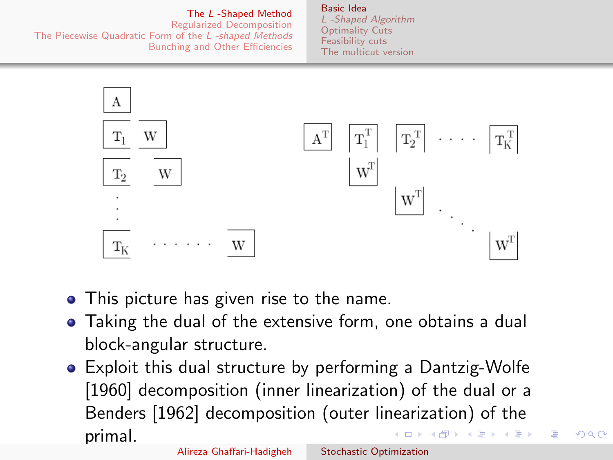#### The L [-Shaped Method](#page-2-0)

#### [Basic Idea](#page-2-0)

<span id="page-4-0"></span>[Regularized Decomposition](#page-29-0) [The Piecewise Quadratic Form of the](#page-34-0) L -shaped Methods [Bunching and Other Efficiencies](#page-41-0)

[L -Shaped Algorithm](#page-5-0) [Optimality Cuts](#page-8-0) [Feasibility cuts](#page-20-0) [The multicut version](#page-25-0)



- This picture has given rise to the name.
- Taking the dual of the extensive form, one obtains a dual block-angular structure.
- Exploit this dual structure by performing a Dantzig-Wolfe [1960] decomposition (inner linearization) of the dual or a Benders [1962] decomposition (outer linearization) of the primal. イロメ イ何メ イヨメ イヨメ

つへへ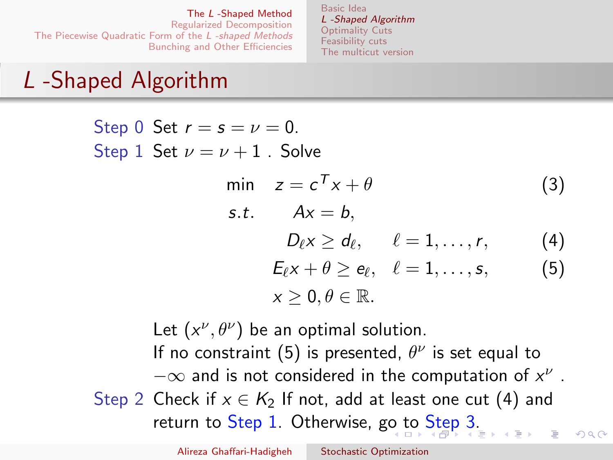<span id="page-5-3"></span><span id="page-5-2"></span><span id="page-5-1"></span>[Basic Idea](#page-2-0) [L -Shaped Algorithm](#page-5-0) [Optimality Cuts](#page-8-0) [Feasibility cuts](#page-20-0) [The multicut version](#page-25-0)

# <span id="page-5-0"></span>L -Shaped Algorithm

Step 0 Set  $r = s = \nu = 0$ . Step 1 Set  $\nu = \nu + 1$ . Solve min  $z = c^T x + \theta$  (3) s.t.  $Ax = b$ .  $D_{\ell} \times \geq d_{\ell}, \qquad \ell = 1, \ldots, r,$  (4)  $E_{\ell} x + \theta \ge e_{\ell}, \quad \ell = 1, \ldots, s,$  (5)  $x > 0, \theta \in \mathbb{R}$ .

Let  $(x^{\nu}, \theta^{\nu})$  be an optimal solution. If no constraint [\(5\)](#page-5-1) is presented,  $\theta^{\nu}$  is set equal to  $-\infty$  and is not considered in the computation of  $x^{\nu}$  . Step 2 Check if  $x \in K_2$  If not, add at least one cut [\(4\)](#page-5-2) and return to Step 1. Otherwise, g[o t](#page-4-0)[o](#page-6-0) [S](#page-4-0)[te](#page-5-0)[p](#page-6-0) [3](#page-4-0)[.](#page-5-0)  $\Omega$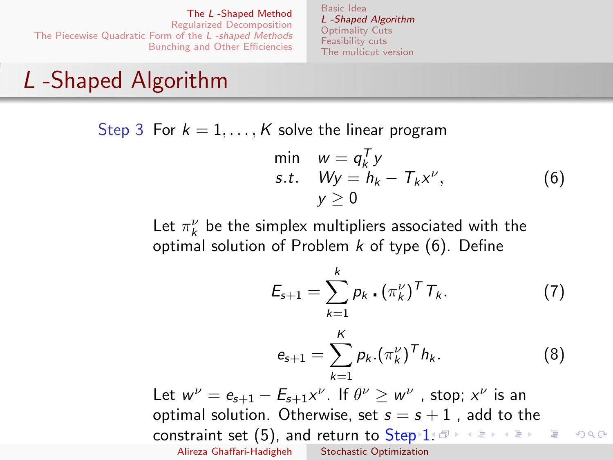[Basic Idea](#page-2-0) [L -Shaped Algorithm](#page-5-0) [Optimality Cuts](#page-8-0) [Feasibility cuts](#page-20-0) [The multicut version](#page-25-0)

# <span id="page-6-0"></span>L -Shaped Algorithm

Step 3 For  $k = 1, ..., K$  solve the linear program

<span id="page-6-1"></span>
$$
\begin{array}{ll}\n\min & w = q_k^T y \\
\text{s.t.} & Wy = h_k - T_k x^\nu, \\
& y \ge 0\n\end{array} \tag{6}
$$

Let  $\pi_k^{\nu}$  be the simplex multipliers associated with the optimal solution of Problem  $k$  of type  $(6)$ . Define

<span id="page-6-3"></span>
$$
E_{s+1} = \sum_{k=1}^{k} p_k \cdot (\pi_k^{\nu})^T T_k.
$$
 (7)

<span id="page-6-2"></span>
$$
e_{s+1} = \sum_{k=1}^{K} p_k . (\pi_k^{\nu})^T h_k.
$$
 (8)

Let  $w^{\nu} = e_{s+1} - E_{s+1}x^{\nu}$ . If  $\theta^{\nu} \geq w^{\nu}$  , stop;  $x^{\nu}$  is an optimal solution. Otherwise, set  $s = s + 1$ , add to the constraint set [\(5\)](#page-5-1), and return to  $Step 1.07 \rightarrow 1.77 \rightarrow 1.77$  $Step 1.07 \rightarrow 1.77 \rightarrow 1.77$  $Step 1.07 \rightarrow 1.77 \rightarrow 1.77$  $Step 1.07 \rightarrow 1.77 \rightarrow 1.77$  $2990$ Alireza Ghaffari-Hadigheh [Stochastic Optimization](#page-0-0)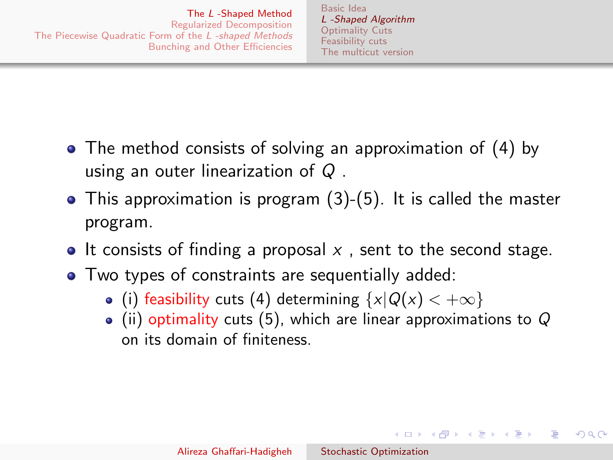[Basic Idea](#page-2-0) [L -Shaped Algorithm](#page-5-0) [Optimality Cuts](#page-8-0) [Feasibility cuts](#page-20-0) [The multicut version](#page-25-0)

- <span id="page-7-0"></span>• The method consists of solving an approximation of [\(4\)](#page-5-2) by using an outer linearization of Q .
- This approximation is program [\(3\)](#page-5-3)-[\(5\)](#page-5-1). It is called the master program.
- It consists of finding a proposal  $x$ , sent to the second stage.
- Two types of constraints are sequentially added:
	- (i) feasibility cuts [\(4\)](#page-5-2) determining  $\{x|Q(x) < +\infty\}$
	- $\bullet$  (ii) optimality cuts [\(5\)](#page-5-1), which are linear approximations to Q on its domain of finiteness.

イロメ イ何メ イヨメ イヨメー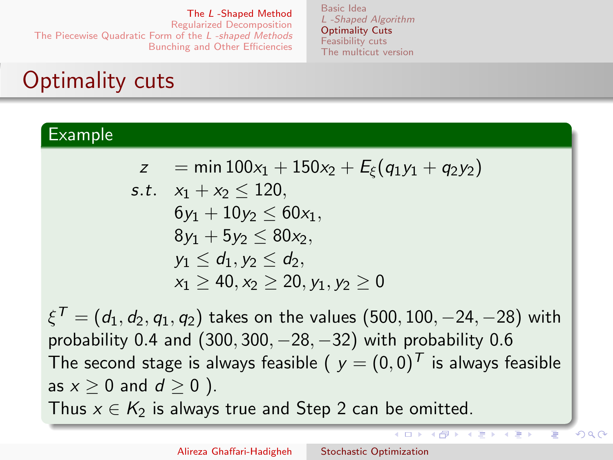[Basic Idea](#page-2-0) [L -Shaped Algorithm](#page-5-0) [Optimality Cuts](#page-8-0) [Feasibility cuts](#page-20-0) [The multicut version](#page-25-0)

# <span id="page-8-0"></span>Optimality cuts

### Example

$$
z = \min 100x_1 + 150x_2 + E_{\xi}(q_1y_1 + q_2y_2)
$$

s.t. 
$$
x_1 + x_2 \le 120
$$
,  
\n $6y_1 + 10y_2 \le 60x_1$ ,  
\n $8y_1 + 5y_2 \le 80x_2$ ,  
\n $y_1 \le d_1, y_2 \le d_2$ ,  
\n $x_1 \ge 40, x_2 \ge 20, y_1, y_2 \ge 0$ 

 $\mathbf{\xi}^{\mathcal{T}}=\left(d_1,d_2,q_1,q_2\right)$  takes on the values  $(500,100,-24,-28)$  with probability 0.4 and  $(300, 300, -28, -32)$  with probability 0.6 The second stage is always feasible (  $y = (0,0)^T$  is always feasible as  $x > 0$  and  $d > 0$  ). Thus  $x \in K_2$  is always true and Step 2 can be omitted.

 $($   $\Box$   $)$   $($   $\overline{f}$  $)$   $($   $\overline{f}$  $)$   $($   $\overline{f}$  $)$   $($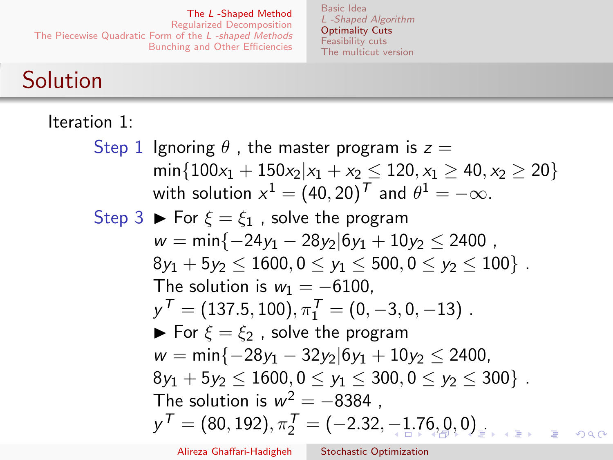[Basic Idea](#page-2-0) [L -Shaped Algorithm](#page-5-0) [Optimality Cuts](#page-8-0) [Feasibility cuts](#page-20-0) [The multicut version](#page-25-0)

## <span id="page-9-0"></span>Solution

Iteration 1: Step 1 Ignoring  $\theta$ , the master program is  $z =$  $\min\{100x_1+150x_2|x_1+x_2\leq 120, x_1\geq 40, x_2\geq 20\}$ with solution  $x^1=(40,20)^{\textstyle \mathcal{T}}$  and  $\theta^1=-\infty.$ Step 3  $\blacktriangleright$  For  $\xi = \xi_1$ , solve the program  $w = min\{-24y_1 - 28y_2|6y_1 + 10y_2 \le 2400$ ,  $8y_1 + 5y_2 < 1600$ ,  $0 < y_1 < 500$ ,  $0 < y_2 < 100$ . The solution is  $w_1 = -6100$ .  $y^{\mathcal{T}} = (137.5, 100), \pi_1^{\mathcal{T}} = (0, -3, 0, -13)$  .  $\blacktriangleright$  For  $\xi = \xi_2$ , solve the program  $w = min\{-28y_1 - 32y_2|6y_1 + 10y_2 \le 2400,$  $8y_1 + 5y_2 < 1600$ ,  $0 < y_1 < 300$ ,  $0 < y_2 < 300$ . The solution is  $w^2 = -8384$  ,  $y^{\mathcal{T}} = (80, 192), \pi_2^{\mathcal{T}} = (-2.32, -1.76, 0.0)_{\pm 1}$  $y^{\mathcal{T}} = (80, 192), \pi_2^{\mathcal{T}} = (-2.32, -1.76, 0.0)_{\pm 1}$  $y^{\mathcal{T}} = (80, 192), \pi_2^{\mathcal{T}} = (-2.32, -1.76, 0.0)_{\pm 1}$  $y^{\mathcal{T}} = (80, 192), \pi_2^{\mathcal{T}} = (-2.32, -1.76, 0.0)_{\pm 1}$  $y^{\mathcal{T}} = (80, 192), \pi_2^{\mathcal{T}} = (-2.32, -1.76, 0.0)_{\pm 1}$  $y^{\mathcal{T}} = (80, 192), \pi_2^{\mathcal{T}} = (-2.32, -1.76, 0.0)_{\pm 1}$  $y^{\mathcal{T}} = (80, 192), \pi_2^{\mathcal{T}} = (-2.32, -1.76, 0.0)_{\pm 1}$  $y^{\mathcal{T}} = (80, 192), \pi_2^{\mathcal{T}} = (-2.32, -1.76, 0.0)_{\pm 1}$  $y^{\mathcal{T}} = (80, 192), \pi_2^{\mathcal{T}} = (-2.32, -1.76, 0.0)_{\pm 1}$ 

Alireza Ghaffari-Hadigheh [Stochastic Optimization](#page-0-0)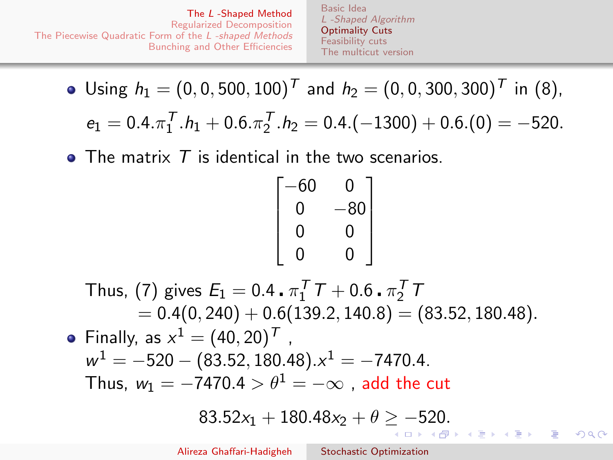[Basic Idea](#page-2-0) [L -Shaped Algorithm](#page-5-0) [Optimality Cuts](#page-8-0) [Feasibility cuts](#page-20-0) [The multicut version](#page-25-0)

<span id="page-10-0"></span>Using  $h_1 = (0, 0, 500, 100)^T$  and  $h_2 = (0, 0, 300, 300)^T$  in [\(8\)](#page-6-2),  $e_1 = 0.4 \cdot \pi_1^T \cdot h_1 + 0.6 \cdot \pi_2^T \cdot h_2 = 0.4 \cdot (-1300) + 0.6 \cdot (0) = -520.$ 

 $\bullet$  The matrix  $T$  is identical in the two scenarios.

$$
\begin{bmatrix} -60 & 0 \\ 0 & -80 \\ 0 & 0 \\ 0 & 0 \end{bmatrix}
$$

Thus, [\(7\)](#page-6-3) gives  $E_1 = 0.4 \cdot \pi_1^T T + 0.6 \cdot \pi_2^T T$  $= 0.4(0, 240) + 0.6(139.2, 140.8) = (83.52, 180.48).$ Finally, as  $x^1 = (40, 20)^T$ ,  $w^1 = -520 - (83.52, 180.48).x^1 = -7470.4.$ Thus,  $w_1 = -7470.4 > \theta^1 = -\infty$ , add the cut  $83.52x_1 + 180.48x_2 + \theta \ge -520.$  $83.52x_1 + 180.48x_2 + \theta \ge -520.$  $83.52x_1 + 180.48x_2 + \theta \ge -520.$  $83.52x_1 + 180.48x_2 + \theta \ge -520.$  $83.52x_1 + 180.48x_2 + \theta \ge -520.$  $83.52x_1 + 180.48x_2 + \theta \ge -520.$  $83.52x_1 + 180.48x_2 + \theta \ge -520.$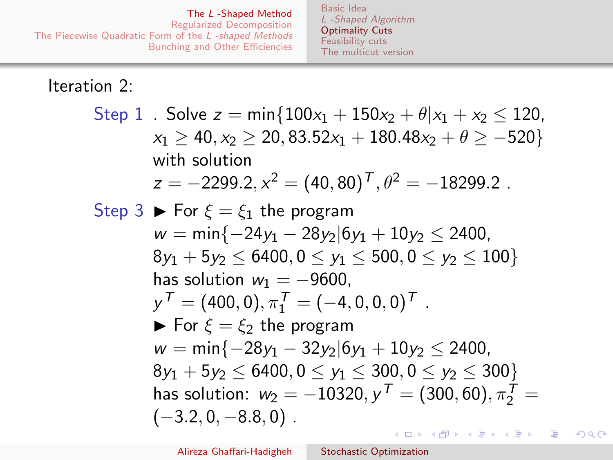[Basic Idea](#page-2-0) [L -Shaped Algorithm](#page-5-0) [Optimality Cuts](#page-8-0) [Feasibility cuts](#page-20-0) [The multicut version](#page-25-0)

<span id="page-11-0"></span>Iteration 2:

Step 1. Solve  $z = min\{100x_1 + 150x_2 + \theta | x_1 + x_2 \le 120$ ,  $x_1 \ge 40$ ,  $x_2 \ge 20$ ,  $83.52x_1 + 180.48x_2 + \theta \ge -520$ with solution  $z=-2299.2, x^2=(40,80)^T, \theta^2=-18299.2$  . Step 3  $\triangleright$  For  $\xi = \xi_1$  the program  $w = min\{-24y_1 - 28y_2|6y_1 + 10y_2 \le 2400,$  $8y_1 + 5y_2 < 6400$ ,  $0 < y_1 < 500$ ,  $0 < y_2 < 100$ has solution  $w_1 = -9600$ .  $y^{\mathcal{T}} = (400, 0), \pi_1^{\mathcal{T}} = (-4, 0, 0, 0)^{\mathcal{T}}$  .  $\blacktriangleright$  For  $\xi = \xi_2$  the program  $w = min\{-28y_1 - 32y_2|6y_1 + 10y_2 \le 2400$  $8v_1 + 5v_2 < 6400$ ,  $0 < v_1 < 300$ ,  $0 < v_2 < 300$ } has solution:  $w_2 = -10320, y^T = (300, 60), \pi_2^T =$  $(-3.2, 0, -8.8, 0)$ . イロメ イ母メ イヨメ イヨメ

つくい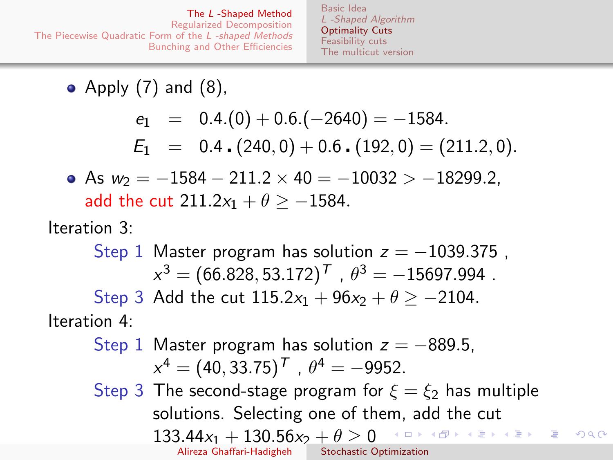[Basic Idea](#page-2-0) [L -Shaped Algorithm](#page-5-0) [Optimality Cuts](#page-8-0) [Feasibility cuts](#page-20-0) [The multicut version](#page-25-0)

• Apply  $(7)$  and  $(8)$ ,

$$
e_1 = 0.4.(0) + 0.6.(-2640) = -1584.
$$
  
\n
$$
E_1 = 0.4.(240,0) + 0.6.(192,0) = (211.2,0).
$$

• As 
$$
w_2 = -1584 - 211.2 \times 40 = -10032 > -18299.2
$$
,  
add the cut  $211.2x_1 + \theta \ge -1584$ .

Iteration 3:

Step 1 Master program has solution  $z = -1039.375$ ,  $x^3 = (66.828, 53.172)^{\mathsf{T}}$  ,  $\theta^3 = -15697.994$  . Step 3 Add the cut  $115.2x_1 + 96x_2 + \theta > -2104$ . Iteration 4:

Step 1 Master program has solution  $z = -889.5$ .  $x^4 = (40, 33.75)^T$  ,  $\theta^4 = -9952$ . Step 3 The second-stage program for  $\xi = \xi_2$  has multiple solutions. Selecting one of them, add the cut  $133.44x_1 + 130.56x_2 + \theta \geq 0$ メロメ メ都 メメ きょくきょう  $\Omega$ Alireza Ghaffari-Hadigheh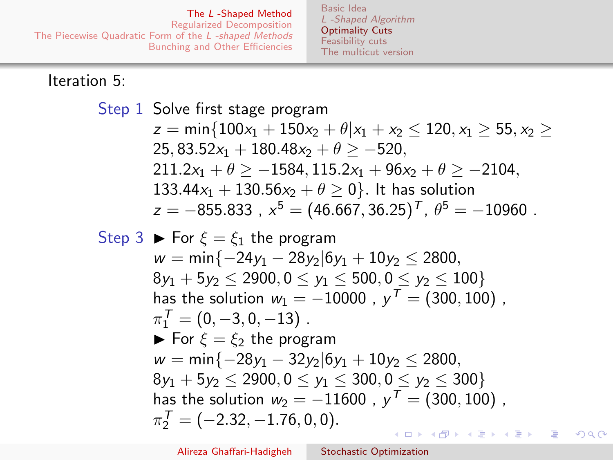[Basic Idea](#page-2-0) [L -Shaped Algorithm](#page-5-0) [Optimality Cuts](#page-8-0) [Feasibility cuts](#page-20-0) [The multicut version](#page-25-0)

#### Iteration 5:

Step 1 Solve first stage program  
\n
$$
z = \min\{100x_1 + 150x_2 + \theta | x_1 + x_2 \le 120, x_1 \ge 55, x_2 \ge 25, 83.52x_1 + 180.48x_2 + \theta \ge -520,
$$
\n
$$
211.2x_1 + \theta \ge -1584, 115.2x_1 + 96x_2 + \theta \ge -2104,
$$
\n
$$
133.44x_1 + 130.56x_2 + \theta \ge 0\}.
$$
 It has solution  
\n
$$
z = -855.833, x^5 = (46.667, 36.25)^T, \theta^5 = -10960.
$$
\nStep 3 **b** For  $\xi = \xi_1$  the program  
\n
$$
w = \min\{-24y_1 - 28y_2|6y_1 + 10y_2 \le 2800,
$$
\n
$$
8y_1 + 5y_2 \le 2900, 0 \le y_1 \le 500, 0 \le y_2 \le 100\}
$$
\nhas the solution  $w_1 = -10000$ ,  $y^T = (300, 100)$ ,  
\n
$$
\pi_1^T = (0, -3, 0, -13).
$$
\n**b** For  $\xi = \xi_2$  the program  
\n
$$
w = \min\{-28y_1 - 32y_2|6y_1 + 10y_2 \le 2800,
$$
\n
$$
8y_1 + 5y_2 \le 2900, 0 \le y_1 \le 300, 0 \le y_2 \le 300\}
$$
\nhas the solution  $w_2 = -11600$ ,  $y^T = (300, 100)$ ,  
\n
$$
\pi_2^T = (-2.32, -1.76, 0, 0).
$$

 $299$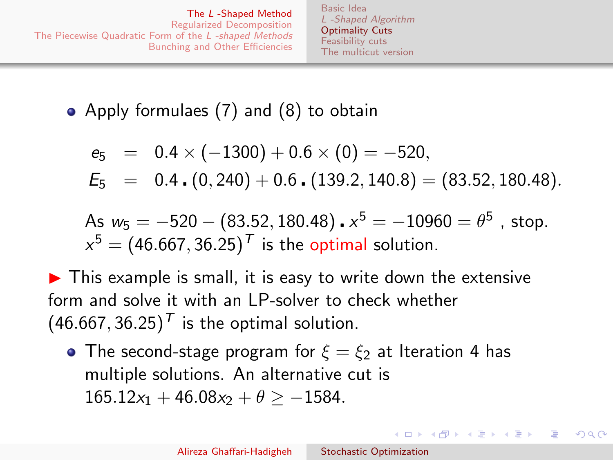[Basic Idea](#page-2-0) [L -Shaped Algorithm](#page-5-0) [Optimality Cuts](#page-8-0) [Feasibility cuts](#page-20-0) [The multicut version](#page-25-0)

• Apply formulaes [\(7\)](#page-6-3) and [\(8\)](#page-6-2) to obtain

$$
e_5 = 0.4 \times (-1300) + 0.6 \times (0) = -520,
$$
  
\n $E_5 = 0.4 \cdot (0, 240) + 0.6 \cdot (139.2, 140.8) = (83.52, 180.48).$ 

As 
$$
w_5 = -520 - (83.52, 180.48) \cdot x^5 = -10960 = \theta^5
$$
, stop.  
 $x^5 = (46.667, 36.25)^T$  is the optimal solution.

 $\blacktriangleright$  This example is small, it is easy to write down the extensive form and solve it with an LP-solver to check whether  $(46.667, 36.25)^T$  is the optimal solution.

• The second-stage program for  $\xi = \xi_2$  at Iteration 4 has multiple solutions. An alternative cut is  $165.12x_1 + 46.08x_2 + \theta > -1584.$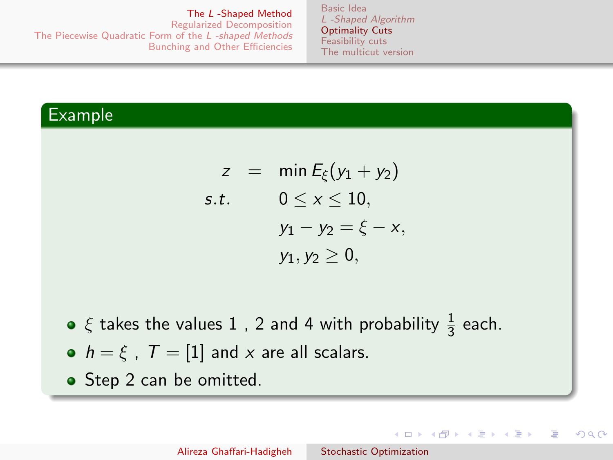The L [-Shaped Method](#page-2-0)

<span id="page-15-0"></span>[Regularized Decomposition](#page-29-0) [The Piecewise Quadratic Form of the](#page-34-0) L -shaped Methods [Bunching and Other Efficiencies](#page-41-0)

[Basic Idea](#page-2-0) [L -Shaped Algorithm](#page-5-0) [Optimality Cuts](#page-8-0) [Feasibility cuts](#page-20-0) [The multicut version](#page-25-0)

### Example

$$
z = \min E_{\xi}(y_1 + y_2)
$$
  
s.t. 
$$
0 \le x \le 10,
$$

$$
y_1 - y_2 = \xi - x,
$$

$$
y_1, y_2 \ge 0,
$$

- $\xi$  takes the values  $1$  ,  $2$  and  $4$  with probability  $\frac{1}{3}$  each.
- $h = \xi$ ,  $T = [1]$  and x are all scalars.
- Step 2 can be omitted.

 $\left\{ \begin{array}{ccc} 1 & 0 & 0 \\ 0 & 1 & 0 \end{array} \right.$ 

つへへ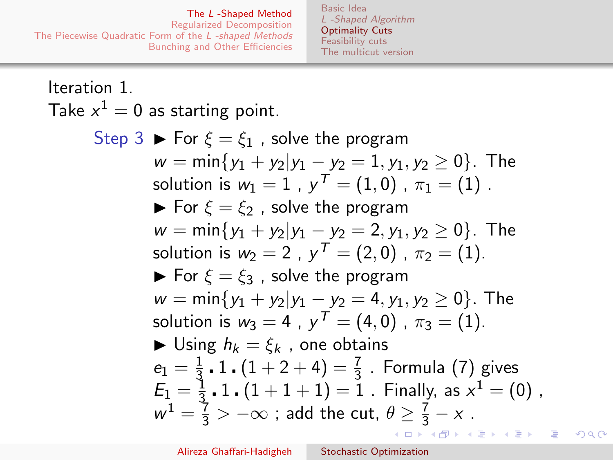[Basic Idea](#page-2-0) [L -Shaped Algorithm](#page-5-0) [Optimality Cuts](#page-8-0) [Feasibility cuts](#page-20-0) [The multicut version](#page-25-0)

Iteration 1. Take  $x^1 = 0$  as starting point.

> Step 3  $\blacktriangleright$  For  $\xi = \xi_1$ , solve the program  $w = min{y_1 + y_2|y_1 - y_2} = 1, y_1, y_2 \ge 0$ . The solution is  $w_1=1$  ,  $y^{\mathcal{T}}=(1,0)$  ,  $\pi_1=(1)$  .  $\blacktriangleright$  For  $\xi = \xi_2$ , solve the program  $w = min\{y_1 + y_2|y_1 - y_2 = 2, y_1, y_2 \ge 0\}$ . The solution is  $w_2 = 2$  ,  $y^T = (2, 0)$  ,  $\pi_2 = (1)$ .  $\triangleright$  For  $\xi = \xi_3$ , solve the program  $w = min{y_1 + y_2|y_1 - y_2} = 4, y_1, y_2 > 0$ . The solution is  $w_3 = 4$  ,  $y^T = (4, 0)$  ,  $\pi_3 = (1)$ .  $\blacktriangleright$  Using  $h_k = \mathcal{E}_k$ , one obtains  $e_1 = \frac{1}{3}$  $\frac{1}{3}$  **.** 1  $\boldsymbol{\cdot}$   $(1+2+4)=\frac{7}{3}$  . Formula [\(7\)](#page-6-3) gives  $\frac{1}{3}$  ,  $1$  ,  $(1+1+1)=1$  . Finally, as  $x^1=(0)$  ,  $E_1 = \frac{1}{3}$  $w^1 = \frac{7}{3} > -\infty$  $w^1 = \frac{7}{3} > -\infty$  $w^1 = \frac{7}{3} > -\infty$  ; add the cut,  $\theta \geq \frac{7}{3} - x$  . つくい

> > Alireza Ghaffari-Hadigheh [Stochastic Optimization](#page-0-0)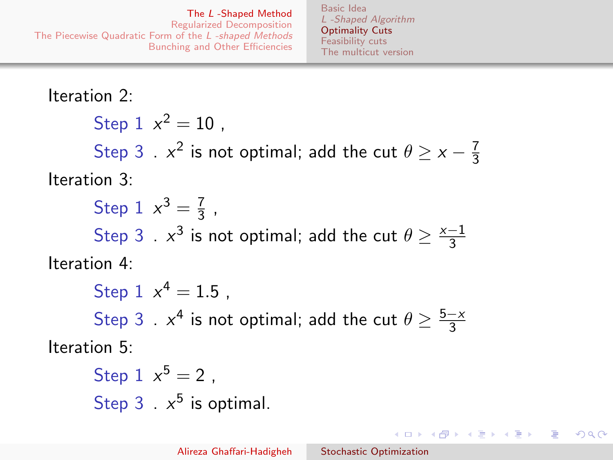[Basic Idea](#page-2-0) [L -Shaped Algorithm](#page-5-0) [Optimality Cuts](#page-8-0) [Feasibility cuts](#page-20-0) [The multicut version](#page-25-0)

<span id="page-17-0"></span>Iteration 2: Step  $1 x^2 = 10$ , Step 3 .  $x^2$  is not optimal; add the cut  $\theta \geq x - \frac{7}{3}$ 3 Iteration 3: Step 1  $x^3 = \frac{7}{3}$  $rac{1}{3}$ , Step 3 .  $x^3$  is not optimal; add the cut  $\theta \geq \frac{x-1}{3}$ 3 Iteration 4: Step  $1 x^4 = 1.5$ , Step 3 .  $x^4$  is not optimal; add the cut  $\theta \geq \frac{5-x}{3}$ 3 Iteration 5:

Step 1 
$$
x^5 = 2
$$
,  
Step 3 .  $x^5$  is optimal.

 $\left\{ \begin{array}{ccc} 1 & 0 & 0 \\ 0 & 1 & 0 \end{array} \right.$ 

 $200$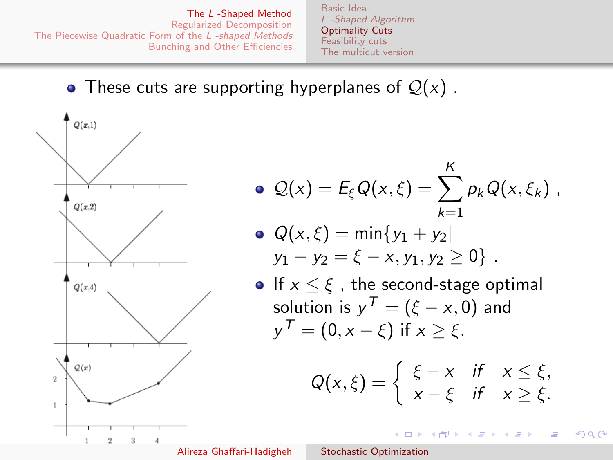[Basic Idea](#page-2-0) [L -Shaped Algorithm](#page-5-0) [Optimality Cuts](#page-8-0) [Feasibility cuts](#page-20-0) [The multicut version](#page-25-0)

### <span id="page-18-0"></span>• These cuts are supporting hyperplanes of  $Q(x)$ .



$$
\bullet \ \mathcal{Q}(x) = E_{\xi} Q(x,\xi) = \sum_{k=1}^{K} p_k Q(x,\xi_k) \ ,
$$

• 
$$
Q(x, \xi) = \min\{y_1 + y_2 | y_1 - y_2 = \xi - x, y_1, y_2 \ge 0\}
$$
.

• If 
$$
x \le \xi
$$
, the second-stage optimal  
solution is  $y^T = (\xi - x, 0)$  and  
 $y^T = (0, x - \xi)$  if  $x \ge \xi$ .

$$
Q(x,\xi) = \begin{cases} \xi - x & \text{if } x \leq \xi, \\ x - \xi & \text{if } x \geq \xi. \end{cases}
$$

イロメ イ母メ イヨメ イヨメ

 $299$ 

э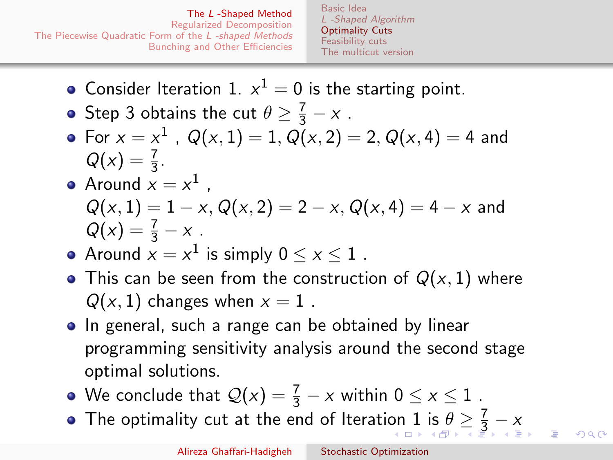[Basic Idea](#page-2-0) [L -Shaped Algorithm](#page-5-0) [Optimality Cuts](#page-8-0) [Feasibility cuts](#page-20-0) [The multicut version](#page-25-0)

- <span id="page-19-0"></span>Consider Iteration 1.  $x^1 = 0$  is the starting point.
- Step 3 obtains the cut  $\theta \geq \frac{7}{3} x$ .
- For  $x = x^1$  ,  $Q(x, 1) = 1$ ,  $Q(x, 2) = 2$ ,  $Q(x, 4) = 4$  and  $Q(x) = \frac{7}{3}$ .
- Around  $x = x^1$  ,  $Q(x, 1) = 1 - x$ ,  $Q(x, 2) = 2 - x$ ,  $Q(x, 4) = 4 - x$  and  $Q(x) = \frac{7}{3} - x$ .
- Around  $x = x^1$  is simply  $0 \le x \le 1$  .
- This can be seen from the construction of  $Q(x, 1)$  where  $Q(x, 1)$  changes when  $x = 1$ .
- In general, such a range can be obtained by linear programming sensitivity analysis around the second stage optimal solutions.
- We conclude that  $\mathcal{Q}(x) = \frac{7}{3} x$  within  $0 \le x \le 1$  .
- The optimality cut at the end of Iterati[on](#page-18-0) [1](#page-20-0) [is](#page-18-0)  $\theta \geq \frac{7}{3} x$  $\theta \geq \frac{7}{3} x$  $\theta \geq \frac{7}{3} x$  $\theta \geq \frac{7}{3} x$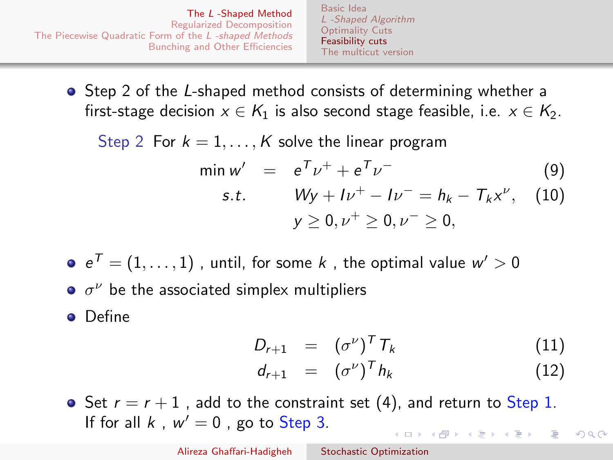[Basic Idea](#page-2-0) [L -Shaped Algorithm](#page-5-0) [Optimality Cuts](#page-8-0) [Feasibility cuts](#page-20-0) [The multicut version](#page-25-0)

<span id="page-20-0"></span>• Step 2 of the L-shaped method consists of determining whether a first-stage decision  $x \in K_1$  is also second stage feasible, i.e.  $x \in K_2$ .

Step 2 For  $k = 1, ..., K$  solve the linear program

$$
\min w' = e^T \nu^+ + e^T \nu^- \tag{9}
$$

<span id="page-20-1"></span>s.t. 
$$
Wy + Iv^{+} - Iv^{-} = h_{k} - T_{k}x^{\nu}
$$
, (10)  
 $y \ge 0, \nu^{+} \ge 0, \nu^{-} \ge 0$ ,

 $e^{\mathcal{T}}=(1,\ldots,1)$  , until, for some  $k$  , the optimal value  $w'>0$ 

 $\sigma^{\nu}$  be the associated simplex multipliers

**o** Define

$$
D_{r+1} = (\sigma^{\nu})^T T_k \qquad (11)
$$

<span id="page-20-4"></span><span id="page-20-3"></span>
$$
d_{r+1} = (\sigma^{\nu})^T h_k \qquad (12)
$$

<span id="page-20-2"></span> $\Omega$ 

• Set  $r = r + 1$ , add to the constraint set [\(4\)](#page-5-2), and return to Step 1. If for all  $k$ ,  $w' = 0$ , go to Step 3.  $\left\{ \begin{array}{ccc} \square & \times & \overline{\square} & \times \end{array} \right.$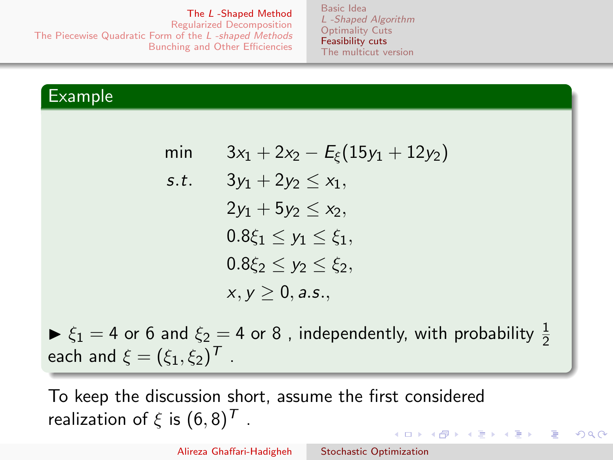The L [-Shaped Method](#page-2-0)

[Regularized Decomposition](#page-29-0) [The Piecewise Quadratic Form of the](#page-34-0) L -shaped Methods [Bunching and Other Efficiencies](#page-41-0)

[Basic Idea](#page-2-0) [L -Shaped Algorithm](#page-5-0) [Optimality Cuts](#page-8-0) [Feasibility cuts](#page-20-0) [The multicut version](#page-25-0)

### Example

| min  | $3x_1 + 2x_2 - E_{\xi}(15y_1 + 12y_2)$ |
|------|----------------------------------------|
| s.t. | $3y_1 + 2y_2 \leq x_1$                 |
|      | $2y_1 + 5y_2 \leq x_2$                 |
|      | $0.8\xi_1 \leq y_1 \leq \xi_1$ ,       |
|      | $0.8\xi_2 \leq \gamma_2 \leq \xi_2$    |
|      | $x, y \ge 0$ , a.s.,                   |

 $\blacktriangleright \xi_1 = 4$  or 6 and  $\xi_2 = 4$  or 8, independently, with probability  $\frac{1}{2}$ each and  $\xi=(\xi_1,\xi_2)^{\mathcal{T}}$  .

To keep the discussion short, assume the first considered realization of  $\xi$  is  $(6, 8)^T$ . 

つへへ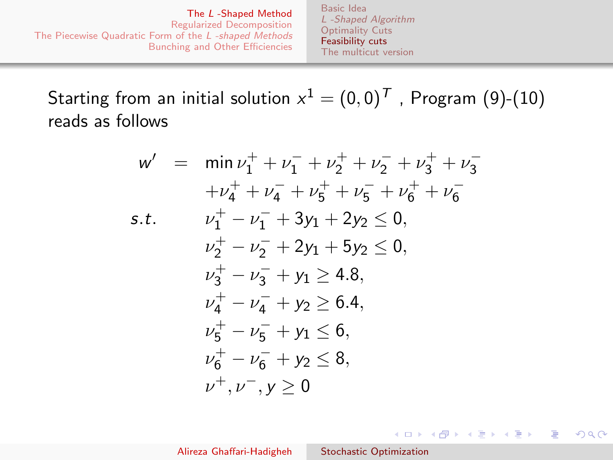[Basic Idea](#page-2-0) [L -Shaped Algorithm](#page-5-0) [Optimality Cuts](#page-8-0) [Feasibility cuts](#page-20-0) [The multicut version](#page-25-0)

Starting from an initial solution  $\mathsf{x}^1 = (0,0)^\mathsf{T}$  , Program [\(9\)](#page-20-1)-[\(10\)](#page-20-2) reads as follows

$$
w' = \min \nu_1^+ + \nu_1^- + \nu_2^+ + \nu_2^- + \nu_3^+ + \nu_3^- + \nu_4^+ + \nu_4^- + \nu_5^+ + \nu_5^- + \nu_6^+ + \nu_6^-
$$
  
s.t. 
$$
\nu_1^+ - \nu_1^- + 3y_1 + 2y_2 \le 0,
$$

$$
\nu_2^+ - \nu_2^- + 2y_1 + 5y_2 \le 0,
$$

$$
\nu_3^+ - \nu_3^- + y_1 \ge 4.8,
$$

$$
\nu_4^+ - \nu_4^- + y_2 \ge 6.4,
$$

$$
\nu_5^+ - \nu_5^- + y_1 \le 6,
$$

$$
\nu_6^+ - \nu_6^- + y_2 \le 8,
$$

$$
\nu^+, \nu^-, y \ge 0
$$

イロメ イ母メ イヨメ イヨメー

 $QQ$ 

曲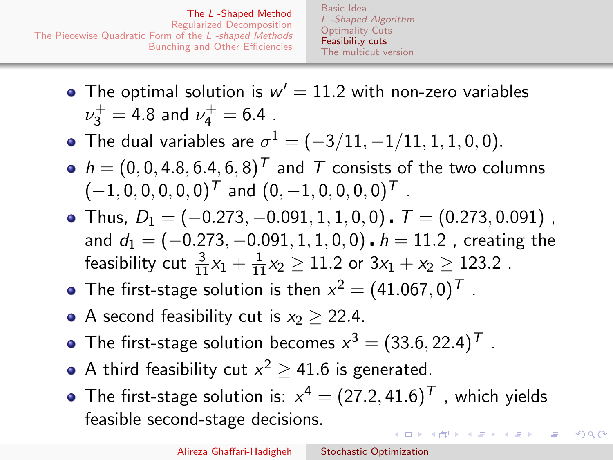- The optimal solution is  $w' = 11.2$  with non-zero variables  $\nu_3^+ = 4.8$  and  $\nu_4^+ = 6.4$  .
- The dual variables are  $\sigma^1 = (-3/11, -1/11, 1, 1, 0, 0).$
- $h = (0, 0, 4.8, 6.4, 6, 8)^T$  and T consists of the two columns  $(-1, 0, 0, 0, 0, 0)^T$  and  $(0, -1, 0, 0, 0, 0)^T$ .
- Thus,  $D_1 = (-0.273, -0.091, 1, 1, 0, 0)$   $\boldsymbol{I} = (0.273, 0.091)$ , and  $d_1 = (-0.273, -0.091, 1, 1, 0, 0)$ .  $h = 11.2$ , creating the feasibility cut  $\frac{3}{11}x_1 + \frac{1}{11}x_2 \ge 11.2$  or  $3x_1 + x_2 \ge 123.2$  .
- The first-stage solution is then  $x^2 = (41.067, 0)^T$  .
- A second feasibility cut is  $x_2 > 22.4$ .
- The first-stage solution becomes  $x^3 = (33.6, 22.4)^T$  .
- A third feasibility cut  $x^2 \ge 41.6$  is generated.
- The first-stage solution is:  $x^4 = (27.2, 41.6)^{\mathsf{T}}$  , which yields feasible second-stage decisions. イロン イ何ン イヨン イヨン

つくい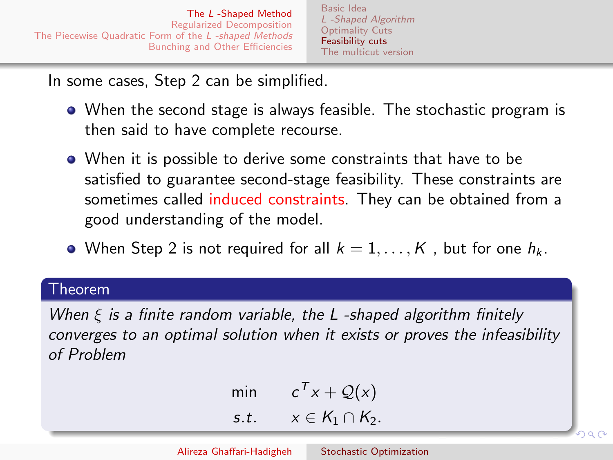[Basic Idea](#page-2-0) [L -Shaped Algorithm](#page-5-0) [Optimality Cuts](#page-8-0) [Feasibility cuts](#page-20-0) [The multicut version](#page-25-0)

In some cases, Step 2 can be simplified.

- When the second stage is always feasible. The stochastic program is then said to have complete recourse.
- When it is possible to derive some constraints that have to be satisfied to guarantee second-stage feasibility. These constraints are sometimes called induced constraints. They can be obtained from a good understanding of the model.
- When Step 2 is not required for all  $k = 1, ..., K$ , but for one  $h_k$ .

#### Theorem

When  $\xi$  is a finite random variable, the L-shaped algorithm finitely converges to an optimal solution when it exists or proves the infeasibility of Problem

$$
\min \qquad c^T x + \mathcal{Q}(x) \ns.t. \qquad x \in K_1 \cap K_2.
$$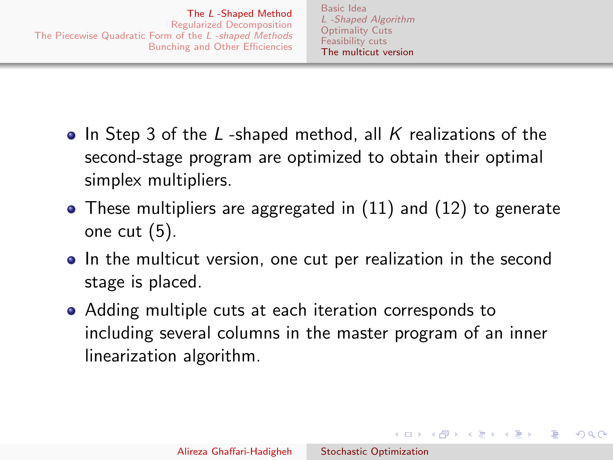- <span id="page-25-0"></span>• In Step 3 of the  $L$ -shaped method, all  $K$  realizations of the second-stage program are optimized to obtain their optimal simplex multipliers.
- These multipliers are aggregated in [\(11\)](#page-20-3) and [\(12\)](#page-20-4) to generate one cut [\(5\)](#page-5-1).
- In the multicut version, one cut per realization in the second stage is placed.
- Adding multiple cuts at each iteration corresponds to including several columns in the master program of an inner linearization algorithm.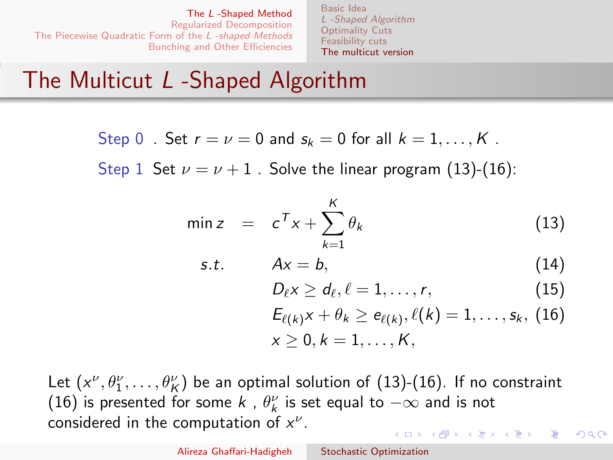[Basic Idea](#page-2-0) [L -Shaped Algorithm](#page-5-0) [Optimality Cuts](#page-8-0) [Feasibility cuts](#page-20-0) [The multicut version](#page-25-0)

# The Multicut L -Shaped Algorithm

Step 0 Set 
$$
r = \nu = 0
$$
 and  $s_k = 0$  for all  $k = 1, ..., K$ .

Step 1 Set  $\nu = \nu + 1$ . Solve the linear program [\(13\)](#page-26-0)-[\(16\)](#page-26-1):

$$
\min z = c^T x + \sum_{k=1}^K \theta_k \tag{13}
$$

$$
s.t. \tAx = b,
$$
\t(14)

<span id="page-26-0"></span>
$$
D_{\ell} x \geq d_{\ell}, \ell = 1, \ldots, r,
$$
 (15)

$$
E_{\ell(k)}x + \theta_k \ge e_{\ell(k)}, \ell(k) = 1, \ldots, s_k, (16)
$$
  

$$
x \ge 0, k = 1, \ldots, K,
$$

<span id="page-26-1"></span> $\Omega$ 

Let  $(x^{\nu}, \theta_1^{\nu}, \dots, \theta_K^{\nu})$  be an optimal solution of [\(13\)](#page-26-0)-[\(16\)](#page-26-1). If no constraint [\(16\)](#page-26-1) is presented for some  $k$  ,  $\theta_k^\nu$  is set equal to  $-\infty$  and is not considered in the computation of  $x^{\nu}$ . イロメ イ母メ イヨメ イヨメ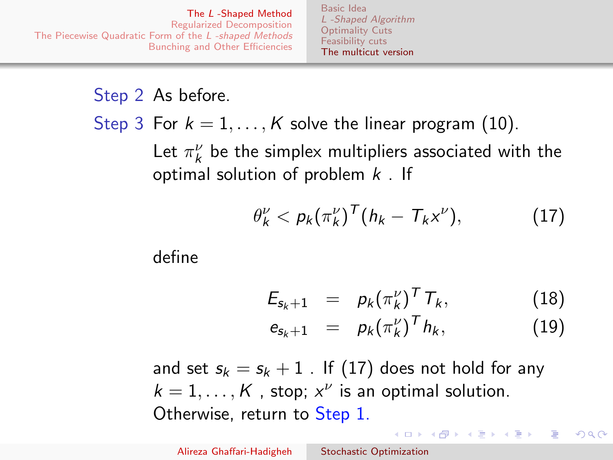[Basic Idea](#page-2-0) [L -Shaped Algorithm](#page-5-0) [Optimality Cuts](#page-8-0) [Feasibility cuts](#page-20-0) [The multicut version](#page-25-0)

Step 2 As before.

Step 3 For  $k = 1, ..., K$  solve the linear program [\(10\)](#page-20-2).

Let  $\pi_k^{\nu}$  be the simplex multipliers associated with the optimal solution of problem  $k$ . If

$$
\theta_k^{\nu} < p_k(\pi_k^{\nu})^{\mathsf{T}}(h_k - T_k x^{\nu}), \tag{17}
$$

define

<span id="page-27-0"></span>
$$
E_{s_k+1} = p_k (\pi_k^{\nu})^T T_k, \qquad (18)
$$

$$
e_{s_k+1} = p_k(\pi_k^{\nu})^T h_k, \qquad (19)
$$

<span id="page-27-2"></span><span id="page-27-1"></span>イロン イ何ン イヨン イヨン

つへへ

and set  $s_k = s_k + 1$ . If [\(17\)](#page-27-0) does not hold for any  $k = 1, ..., K$ , stop;  $x^{\nu}$  is an optimal solution. Otherwise, return to Step 1.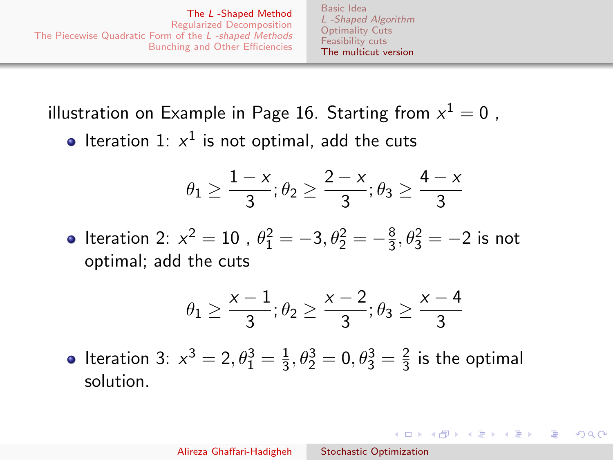[Basic Idea](#page-2-0) [L -Shaped Algorithm](#page-5-0) [Optimality Cuts](#page-8-0) [Feasibility cuts](#page-20-0) [The multicut version](#page-25-0)

<span id="page-28-0"></span>illustration on Example in Page 16. Starting from  $\mathsf{x}^1 = \mathsf{0}$  ,

Iteration 1:  $x^1$  is not optimal, add the cuts

$$
\theta_1 \geq \frac{1-x}{3}; \theta_2 \geq \frac{2-x}{3}; \theta_3 \geq \frac{4-x}{3}
$$

Iteration 2:  $x^2 = 10$  ,  $\theta_1^2 = -3$ ,  $\theta_2^2 = -\frac{8}{3}$  $\frac{8}{3}, \theta_3^2 = -2$  is not optimal; add the cuts

$$
\theta_1 \geq \frac{x-1}{3}; \theta_2 \geq \frac{x-2}{3}; \theta_3 \geq \frac{x-4}{3}
$$

 $\Omega$ 

Iteration 3:  $x^3 = 2, \theta_1^3 = \frac{1}{3}$  $\frac{1}{3}, \theta_2^3 = 0, \theta_3^3 = \frac{2}{3}$  $\frac{2}{3}$  is the optimal solution.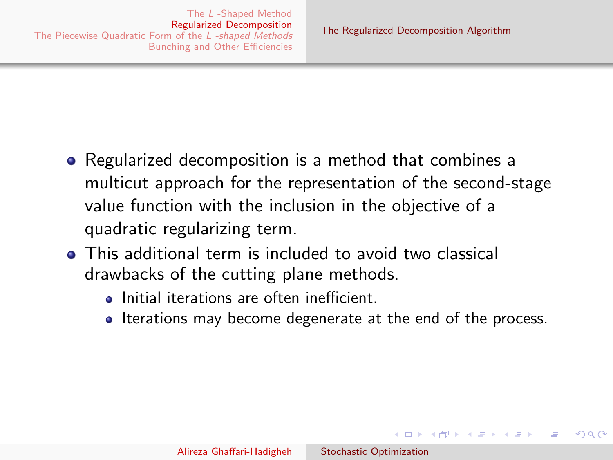メロメ メ母メ メミメメミメ

- <span id="page-29-0"></span>• Regularized decomposition is a method that combines a multicut approach for the representation of the second-stage value function with the inclusion in the objective of a quadratic regularizing term.
- This additional term is included to avoid two classical drawbacks of the cutting plane methods.
	- Initial iterations are often inefficient.
	- Iterations may become degenerate at the end of the process.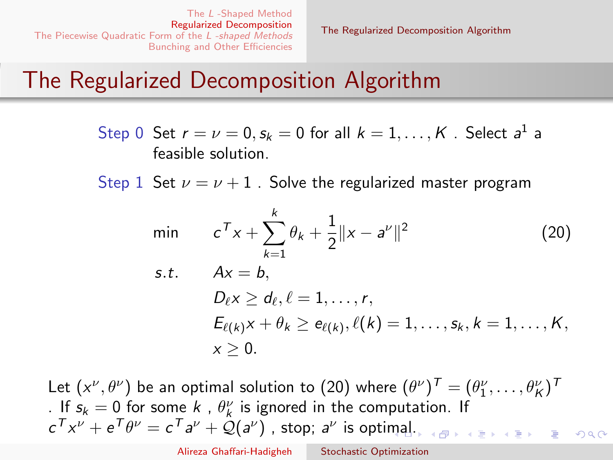<span id="page-30-0"></span>[The Regularized Decomposition Algorithm](#page-29-0)

# The Regularized Decomposition Algorithm

Step 0 Set  $r = \nu = 0, s_k = 0$  for all  $k = 1, ..., K$  . Select  $a^1$  a feasible solution.

Step 1 Set  $\nu = \nu + 1$ . Solve the regularized master program

$$
\min \qquad c^T x + \sum_{k=1}^k \theta_k + \frac{1}{2} ||x - a^{\nu}||^2 \qquad (20)
$$
\n
$$
\text{s.t.} \qquad Ax = b,
$$
\n
$$
D_{\ell} x \ge d_{\ell}, \ell = 1, \dots, r,
$$
\n
$$
E_{\ell(k)} x + \theta_k \ge e_{\ell(k)}, \ell(k) = 1, \dots, s_k, k = 1, \dots, K,
$$
\n
$$
x \ge 0.
$$

Let  $(x^\nu, \theta^\nu)$  be an optimal solution to [\(20\)](#page-30-0) where  $(\theta^\nu)^T = (\theta_1^\nu, \dots, \theta_K^\nu)^T$ . If  $s_k = 0$  for some k,  $\theta_k^{\nu}$  is ignored in the computation. If  $c^T x^{\nu} + e^T \theta^{\nu} = c^T a^{\nu} + \mathcal{Q}(a^{\nu})$  $c^T x^{\nu} + e^T \theta^{\nu} = c^T a^{\nu} + \mathcal{Q}(a^{\nu})$  $c^T x^{\nu} + e^T \theta^{\nu} = c^T a^{\nu} + \mathcal{Q}(a^{\nu})$  , stop;  $a^{\nu}$  is optimal[.](#page-31-0)  $000$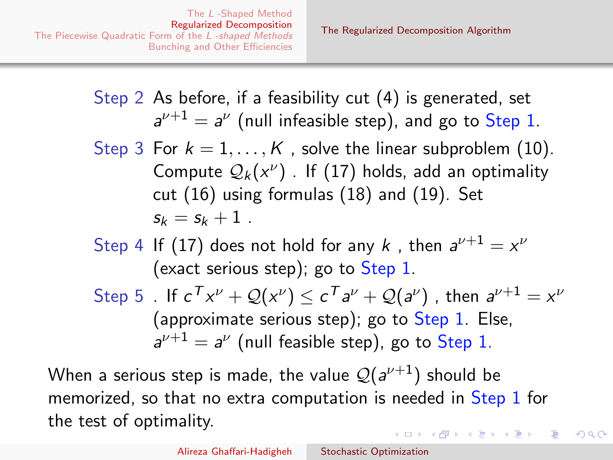- <span id="page-31-0"></span>Step 2 As before, if a feasibility cut [\(4\)](#page-5-2) is generated, set  $a^{\nu+1}=a^{\nu}$  (null infeasible step), and go to Step 1.
- Step 3 For  $k = 1, ..., K$ , solve the linear subproblem [\(10\)](#page-20-2). Compute  $\mathcal{Q}_k(x^\nu)$  . If  $(17)$  holds, add an optimality cut [\(16\)](#page-26-1) using formulas [\(18\)](#page-27-1) and [\(19\)](#page-27-2). Set  $s_k = s_k + 1$ .
- Step 4 If [\(17\)](#page-27-0) does not hold for any k, then  $a^{\nu+1} = x^{\nu}$ (exact serious step); go to Step 1.
- Step 5 . If  $c^\mathcal{T} x^\nu + \mathcal{Q}(x^\nu) \leq c^\mathcal{T} a^\nu + \mathcal{Q}(a^\nu)$  , then  $a^{\nu+1} = x^\nu$ (approximate serious step); go to Step 1. Else,  $a^{\nu+1} = a^{\nu}$  (null feasible step), go to Step 1.

When a serious step is made, the value  $\mathcal{Q}(\mathsf{a}^{\nu+1})$  should be memorized, so that no extra computation is needed in Step 1 for the test of optimality.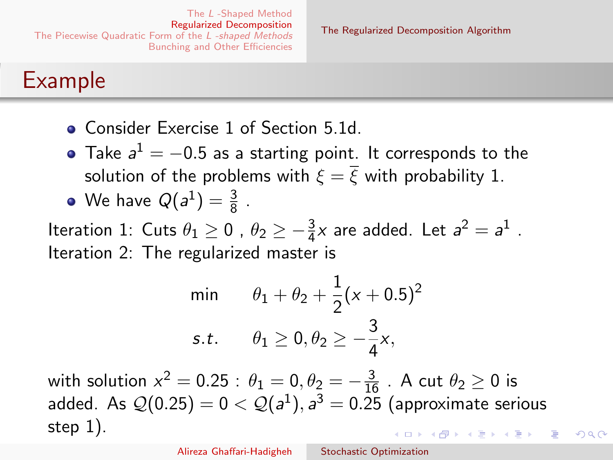# Example

- **Consider Exercise 1 of Section 5.1d.**
- Take  $a^1 = -0.5$  as a starting point. It corresponds to the solution of the problems with  $\xi = \overline{\xi}$  with probability 1.

• We have 
$$
Q(a^1) = \frac{3}{8}
$$
.

Iteration 1: Cuts  $\theta_1 \geq 0$  ,  $\theta_2 \geq -\frac{3}{4}x$  are added. Let  $a^2=a^1$  . Iteration 2: The regularized master is

$$
\begin{aligned}\n\min \qquad & \theta_1 + \theta_2 + \frac{1}{2}(x+0.5)^2 \\
\text{s.t.} \qquad & \theta_1 \ge 0, \theta_2 \ge -\frac{3}{4}x,\n\end{aligned}
$$

with solution  $x^2 = 0.25$  :  $\theta_1 = 0, \theta_2 = -\frac{3}{16}$  . A cut  $\theta_2 \ge 0$  is added. As  $\mathcal{Q}(0.25)=0<\mathcal{Q}(a^1), a^3=0.25$  (approximate serious step 1).  $\mathbf{A}$  in a subsequent of  $\mathbf{B}$  is a subsequent of  $\mathbf{B}$  is a subsequent of  $\mathbf{B}$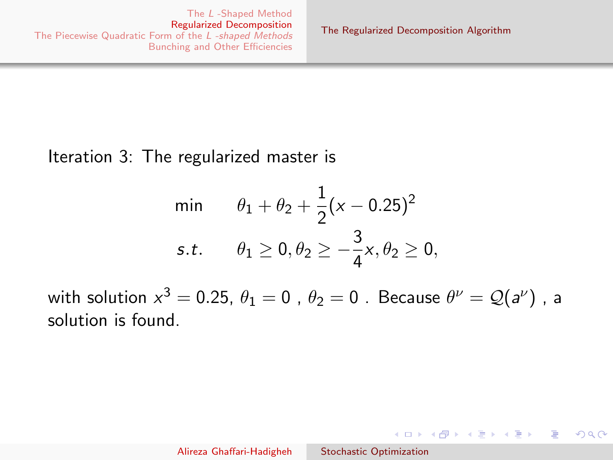$\Omega$ 

#### <span id="page-33-0"></span>Iteration 3: The regularized master is

min 
$$
\theta_1 + \theta_2 + \frac{1}{2}(x - 0.25)^2
$$
  
s.t.  $\theta_1 \ge 0, \theta_2 \ge -\frac{3}{4}x, \theta_2 \ge 0$ ,

with solution  $x^3=$  0.25,  $\theta_1=$  0 ,  $\theta_2=$  0 . Because  $\theta^\nu=\mathcal{Q}(\mathsf{a}^{\nu})$  , a solution is found.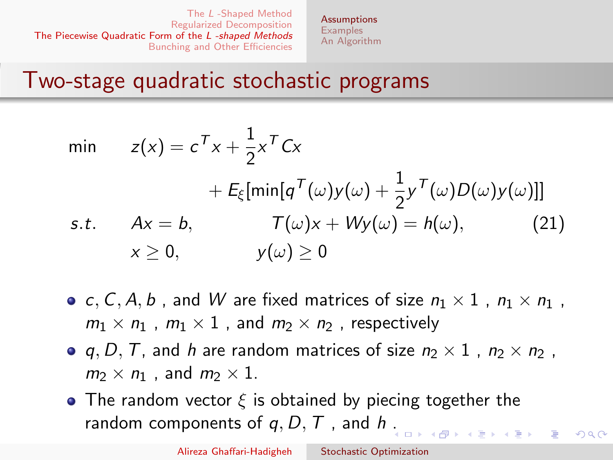**[Assumptions](#page-34-0) [Examples](#page-36-0)** [An Algorithm](#page-40-0)

# <span id="page-34-0"></span>Two-stage quadratic stochastic programs

min 
$$
z(x) = c^T x + \frac{1}{2} x^T C x
$$
  
\t\t\t\t $+ E_{\xi} [\min[q^T(\omega) y(\omega) + \frac{1}{2} y^T(\omega) D(\omega) y(\omega)]]$   
\ns.t.  $Ax = b$ ,  $T(\omega)x + Wy(\omega) = h(\omega)$ , (21)  
\t\t\t $x \ge 0$ ,  $y(\omega) \ge 0$ 

- c, C, A, b, and W are fixed matrices of size  $n_1 \times 1$ ,  $n_1 \times n_1$ ,  $m_1 \times n_1$ ,  $m_1 \times 1$ , and  $m_2 \times n_2$ , respectively
- q, D, T, and h are random matrices of size  $n_2 \times 1$  ,  $n_2 \times n_2$  ,  $m_2 \times n_1$ , and  $m_2 \times 1$ .
- The random vector  $\xi$  is obtained by piecing together the random components of  $q, D, T$ , and  $h$ [.](#page-33-0)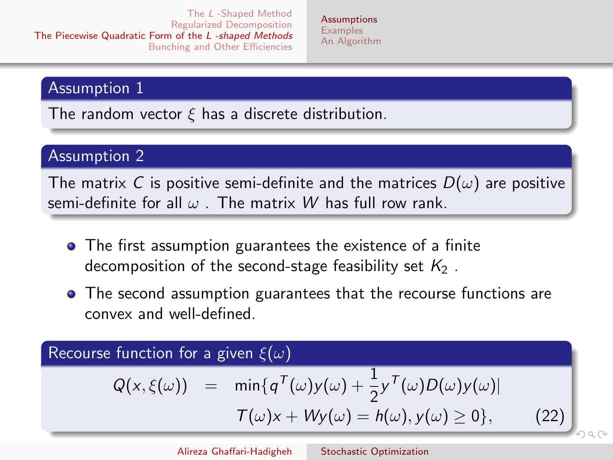**[Assumptions](#page-34-0) [Examples](#page-36-0)** [An Algorithm](#page-40-0)

#### Assumption 1

The random vector  $\xi$  has a discrete distribution.

#### Assumption 2

The matrix C is positive semi-definite and the matrices  $D(\omega)$  are positive semi-definite for all  $\omega$ . The matrix W has full row rank.

- The first assumption guarantees the existence of a finite decomposition of the second-stage feasibility set  $K_2$ .
- The second assumption guarantees that the recourse functions are convex and well-defined.

### Recourse function for a given  $\xi(\omega)$

$$
Q(x,\xi(\omega)) = \min\{q^T(\omega)y(\omega) + \frac{1}{2}y^T(\omega)D(\omega)y(\omega)|
$$
  

$$
T(\omega)x + Wy(\omega) = h(\omega), y(\omega) \ge 0\}, \qquad (22)
$$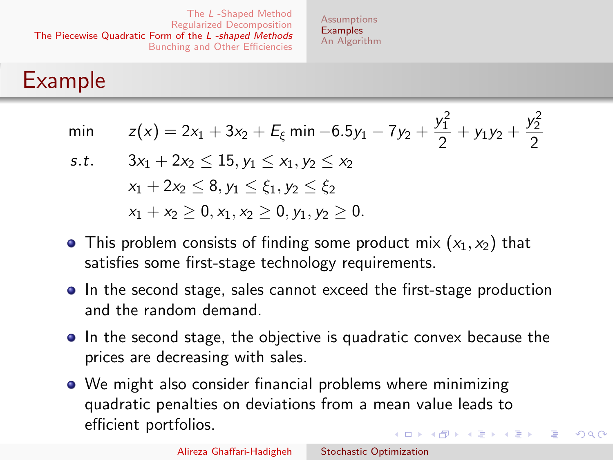**[Assumptions](#page-34-0) [Examples](#page-36-0)** [An Algorithm](#page-40-0)

### <span id="page-36-0"></span>Example

| min $z(x) = 2x_1 + 3x_2 + E_{\xi}$ min $-6.5y_1 - 7y_2 + \frac{y_1^2}{2} + y_1y_2 + \frac{y_2^2}{2}$ |  |
|------------------------------------------------------------------------------------------------------|--|
|                                                                                                      |  |

- s.t.  $3x_1 + 2x_2 < 15$ ,  $y_1 < x_1$ ,  $y_2 < x_2$  $x_1 + 2x_2 < 8, y_1 < \xi_1, y_2 < \xi_2$  $x_1 + x_2 > 0, x_1, x_2 > 0, y_1, y_2 > 0.$
- This problem consists of finding some product mix  $(x_1, x_2)$  that satisfies some first-stage technology requirements.
- In the second stage, sales cannot exceed the first-stage production and the random demand.
- In the second stage, the objective is quadratic convex because the prices are decreasing with sales.
- We might also consider financial problems where minimizing quadratic penalties on deviations from a mean value leads to efficient portfolios.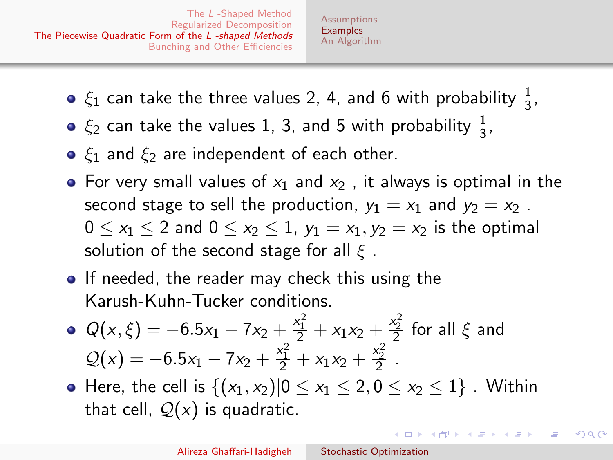- $\xi_1$  can take the three values 2, 4, and 6 with probability  $\frac{1}{3}$ ,
- $\xi_2$  can take the values 1, 3, and 5 with probability  $\frac{1}{3}$ ,
- $\xi_1$  and  $\xi_2$  are independent of each other.
- For very small values of  $x_1$  and  $x_2$ , it always is optimal in the second stage to sell the production,  $y_1 = x_1$  and  $y_2 = x_2$ .  $0 \le x_1 \le 2$  and  $0 \le x_2 \le 1$ ,  $y_1 = x_1, y_2 = x_2$  is the optimal solution of the second stage for all  $\xi$ .
- **If needed, the reader may check this using the** Karush-Kuhn-Tucker conditions.
- $Q(x,\xi) = -6.5x_1 7x_2 + \frac{x_1^2}{2} + x_1x_2 + \frac{x_2^2}{2}$  for all  $\xi$  and  $Q(x) = -6.5x_1 - 7x_2 + \frac{x_1^2}{2} + x_1x_2 + \frac{x_2^2}{2}$ .
- Here, the cell is  $\{(x_1, x_2)|0 \le x_1 \le 2, 0 \le x_2 \le 1\}$ . Within that cell,  $Q(x)$  is quadratic.

イロト イ母ト イヨト イヨト

つくい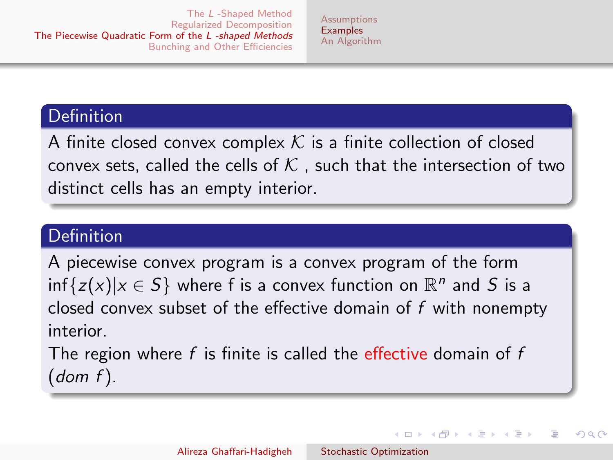#### Definition

A finite closed convex complex  $K$  is a finite collection of closed convex sets, called the cells of  $K$  , such that the intersection of two distinct cells has an empty interior.

### Definition

A piecewise convex program is a convex program of the form  $\inf\{z(x)|x\in S\}$  where f is a convex function on  $\mathbb{R}^n$  and  $S$  is a closed convex subset of the effective domain of  $f$  with nonempty interior.

The region where  $f$  is finite is called the effective domain of  $f$  $(dom f)$ .

メロメ メ母メ メミメ メミメ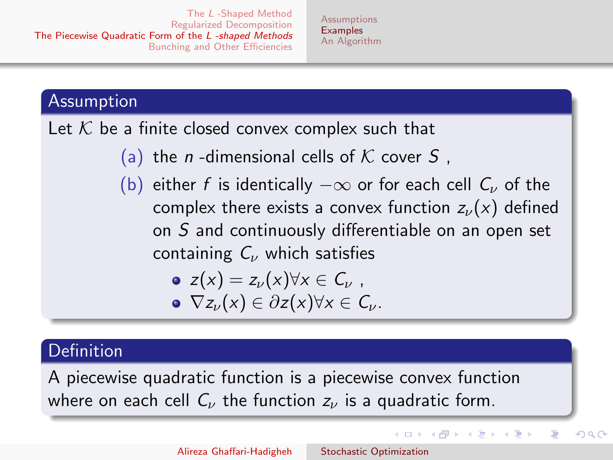### Assumption

Let  $K$  be a finite closed convex complex such that

- (a) the *n*-dimensional cells of K cover S,
- (b) either f is identically  $-\infty$  or for each cell  $C_{\nu}$  of the complex there exists a convex function  $z_{\nu}(x)$  defined on S and continuously differentiable on an open set containing  $C_{\nu}$  which satisfies

\n- $$
z(x) = z_{\nu}(x) \forall x \in C_{\nu}
$$
\n- $\nabla z_{\nu}(x) \in \partial z(x) \forall x \in C_{\nu}$
\n

### **Definition**

A piecewise quadratic function is a piecewise convex function where on each cell  $C_{\nu}$  the function  $z_{\nu}$  is a quadratic form.

イロメ イ母メ イヨメ イヨメー

つへへ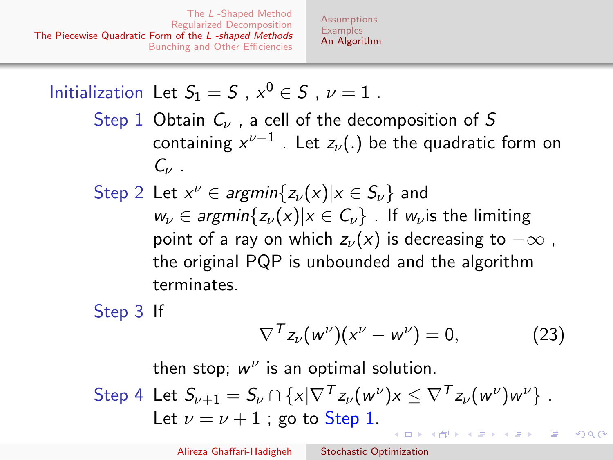**[Assumptions](#page-34-0) [Examples](#page-36-0)** [An Algorithm](#page-40-0)

<span id="page-40-0"></span>Initialization Let  $S_1 = S$ ,  $x^0 \in S$ ,  $\nu = 1$ . Step 1 Obtain  $C_{\nu}$ , a cell of the decomposition of S containing  $x^{\nu-1}$  . Let  $z_\nu(.)$  be the quadratic form on  $C_{\nu}$ . Step 2 Let  $x^{\nu} \in argmin\{z_{\nu}(x) | x \in S_{\nu}\}\)$  and  $w_{\nu} \in \text{argmin}\{z_{\nu}(x)|x \in C_{\nu}\}\.$  If  $w_{\nu}$  is the limiting point of a ray on which  $z_{\nu}(x)$  is decreasing to  $-\infty$ , the original PQP is unbounded and the algorithm terminates.

Step 3 If

$$
\nabla^{T} z_{\nu}(w^{\nu})(x^{\nu} - w^{\nu}) = 0, \qquad (23)
$$

つへへ

then stop;  $w^{\nu}$  is an optimal solution.

Step 4 Let 
$$
S_{\nu+1} = S_{\nu} \cap \{x | \nabla^T z_{\nu}(w^{\nu})x \le \nabla^T z_{\nu}(w^{\nu})w^{\nu}\}
$$
.  
Let  $\nu = \nu + 1$ ; go to Step 1.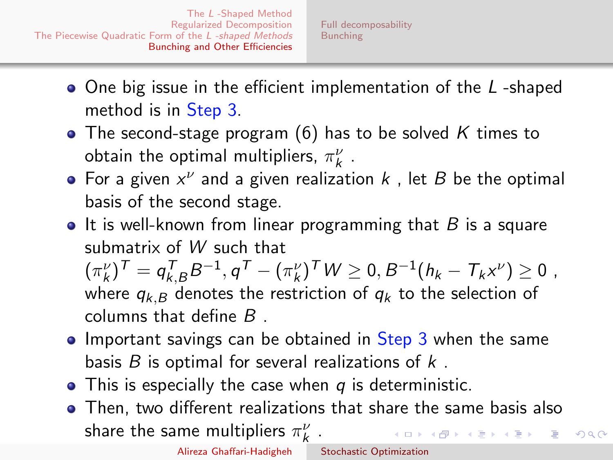- <span id="page-41-0"></span>• One big issue in the efficient implementation of the L-shaped method is in Step 3.
- The second-stage program [\(6\)](#page-6-1) has to be solved K times to obtain the optimal multipliers,  $\pi_k^{\nu}$  .
- For a given  $x^{\nu}$  and a given realization  $k$  , let  $B$  be the optimal basis of the second stage.
- $\bullet$  It is well-known from linear programming that B is a square submatrix of W such that

 $(\pi_k^{\nu})^{\mathsf{T}} = q_{k,B}^{\mathsf{T}}B^{-1}, q^{\mathsf{T}} - (\pi_k^{\nu})^{\mathsf{T}}W \geq 0, B^{-1}(h_k - T_kx^{\nu}) \geq 0$ , where  $q_{k,B}$  denotes the restriction of  $q_k$  to the selection of

columns that define B .

- Important savings can be obtained in Step 3 when the same basis  $B$  is optimal for several realizations of  $k$ .
- $\bullet$  This is especially the case when q is deterministic.
- Then, two different realizations that share the same basis also share the same multipliers  $\pi_k^{\nu}$  . イロメ イ母メ イヨメ イヨメ

 $QQ$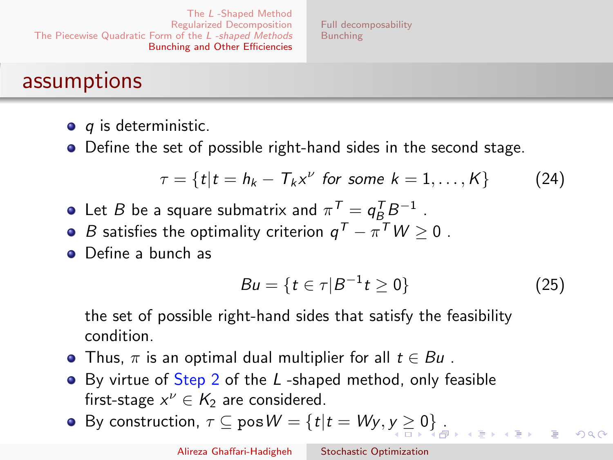[Full decomposability](#page-43-0) [Bunching](#page-46-0)

### <span id="page-42-0"></span>assumptions

- $\bullet$  q is deterministic.
- Define the set of possible right-hand sides in the second stage.

$$
\tau = \{t | t = h_k - T_k x^{\nu} \text{ for some } k = 1, \ldots, K\}
$$
 (24)

- Let  $B$  be a square submatrix and  $\pi^{\mathcal{T}} = q_B^{\mathcal{T}} B^{-1}$  .
- *B* satisfies the optimality criterion  $q^T \pi^T W \ge 0$  .
- **Q** Define a bunch as

$$
Bu = \{ t \in \tau | B^{-1} t \ge 0 \}
$$
 (25)

the set of possible right-hand sides that satisfy the feasibility condition.

- Thus,  $\pi$  is an optimal dual multiplier for all  $t \in Bu$ .
- By virtue of Step 2 of the L-shaped method, only feasible first-stage  $x^{\nu} \in K_2$  are considered.
- B[y](#page-41-0) construction,  $\tau \subseteq \text{pos } W = \{t | t = Wy, y \ge 0\}$  $\tau \subseteq \text{pos } W = \{t | t = Wy, y \ge 0\}$  $\tau \subseteq \text{pos } W = \{t | t = Wy, y \ge 0\}$  $\tau \subseteq \text{pos } W = \{t | t = Wy, y \ge 0\}$ [.](#page-42-0)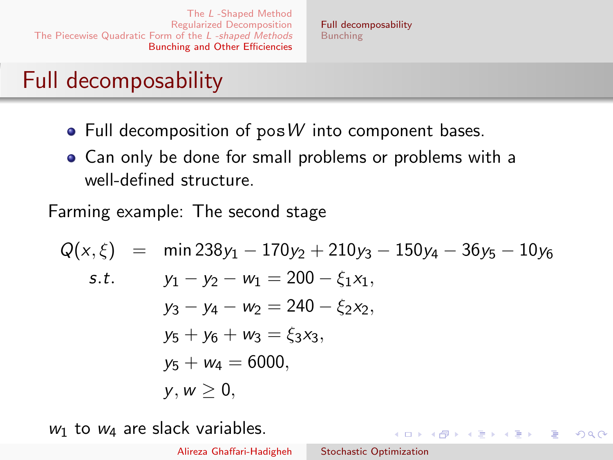# <span id="page-43-0"></span>Full decomposability

- $\bullet$  Full decomposition of pos W into component bases.
- Can only be done for small problems or problems with a well-defined structure.

Farming example: The second stage

$$
Q(x, \xi) = \min 238y_1 - 170y_2 + 210y_3 - 150y_4 - 36y_5 - 10y_6
$$
  
s.t.  $y_1 - y_2 - w_1 = 200 - \xi_1 x_1$ ,  
 $y_3 - y_4 - w_2 = 240 - \xi_2 x_2$ ,  
 $y_5 + y_6 + w_3 = \xi_3 x_3$ ,  
 $y_5 + w_4 = 6000$ ,  
 $y, w \ge 0$ ,

 $w_1$  to  $w_4$  are slack variables.

イロン イ何ン イヨン イヨン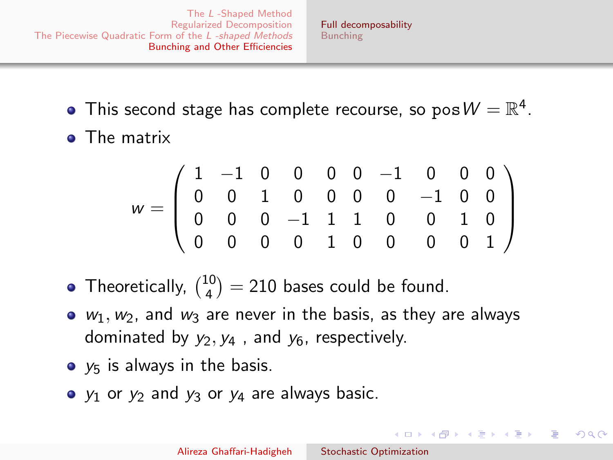- This second stage has complete recourse, so  $\mathsf{pos}\, \mathsf{W} = \mathbb{R}^4.$
- **o** The matrix

$$
w = \left(\begin{array}{cccccc} 1 & -1 & 0 & 0 & 0 & 0 & -1 & 0 & 0 & 0 \\ 0 & 0 & 1 & 0 & 0 & 0 & 0 & -1 & 0 & 0 \\ 0 & 0 & 0 & -1 & 1 & 1 & 0 & 0 & 1 & 0 \\ 0 & 0 & 0 & 0 & 1 & 0 & 0 & 0 & 0 & 1 \end{array}\right)
$$

- Theoretically,  $\binom{10}{4}$  $\binom{10}{4}$  = 210 bases could be found.
- $\bullet$   $w_1, w_2$ , and  $w_3$  are never in the basis, as they are always dominated by  $y_2, y_4$ , and  $y_6$ , respectively.
- $\bullet$   $y_5$  is always in the basis.
- $\bullet$   $y_1$  or  $y_2$  and  $y_3$  or  $y_4$  are always basic.

 $\left\{ \begin{array}{ccc} \square & \rightarrow & \left\{ \bigoplus \bullet & \leftarrow \Xi \right\} & \leftarrow \Xi \end{array} \right.$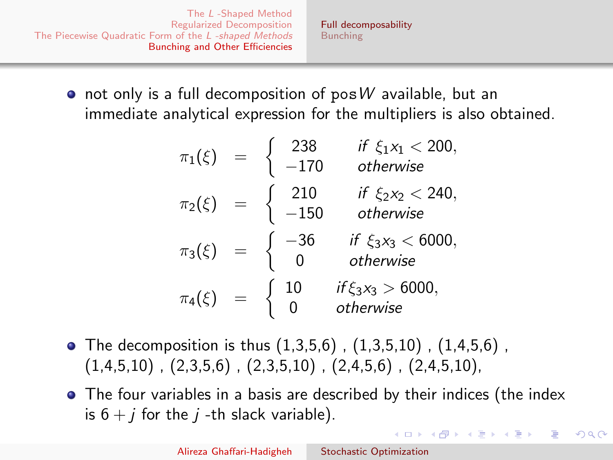[Full decomposability](#page-43-0) [Bunching](#page-46-0)

- $\bullet$  not only is a full decomposition of pos W available, but an immediate analytical expression for the multipliers is also obtained.
	- $\pi_1(\xi) = \begin{cases} 238 & \text{if } \xi_1 x_1 < 200, \\ -170 & \text{otherwise.} \end{cases}$ −170 otherwise  $\pi_2(\xi) = \begin{cases} 210 & \text{if } \xi_2 x_2 < 240, \\ -150 & \text{otherwise.} \end{cases}$ −150 otherwise  $\pi_3(\xi) = \begin{cases} -36 & \text{if } \xi_3 x_3 < 6000, \\ 0 & \text{otherwise.} \end{cases}$ 0 otherwise  $\pi_4(\xi) = \begin{cases} 10 & \text{if } \xi_3 x_3 > 6000, \\ 0 & \text{otherwise.} \end{cases}$ 0 otherwise
- The decomposition is thus  $(1,3,5,6)$  ,  $(1,3,5,10)$  ,  $(1,4,5,6)$  ,  $(1,4,5,10)$ ,  $(2,3,5,6)$ ,  $(2,3,5,10)$ ,  $(2,4,5,6)$ ,  $(2,4,5,10)$ ,
- The four variables in a basis are described by their indices (the index is  $6 + i$  for the *i*-th slack variable).

イロメ イ押メ イヨメ イヨメー

つへへ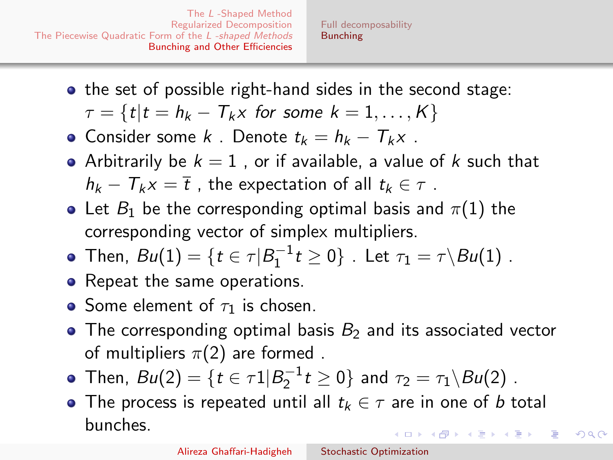<span id="page-46-0"></span>• the set of possible right-hand sides in the second stage:

$$
\tau = \{t | t = h_k - T_k x \text{ for some } k = 1, \ldots, K\}
$$

- Consider some k . Denote  $t_k = h_k T_k x$ .
- Arbitrarily be  $k = 1$ , or if available, a value of k such that  $h_k - T_k x = \overline{t}$ , the expectation of all  $t_k \in \tau$ .
- Let  $B_1$  be the corresponding optimal basis and  $\pi(1)$  the corresponding vector of simplex multipliers.
- Then,  $Bu(1) = \{t \in \tau | B_1^{-1} t \ge 0\}$  . Let  $\tau_1 = \tau \backslash Bu(1)$  .
- Repeat the same operations.
- Some element of  $\tau_1$  is chosen.
- The corresponding optimal basis  $B_2$  and its associated vector of multipliers  $\pi(2)$  are formed.
- Then,  $Bu(2) = \{ t \in \tau \mathbb{1} | B_2^{-1} t \geq 0 \}$  and  $\tau_2 = \tau_1 \backslash Bu(2)$  .
- The process is repeated until all  $t_k \in \tau$  are in one of b total bunches. イロメ イ何メ イヨメ イヨメー ヨ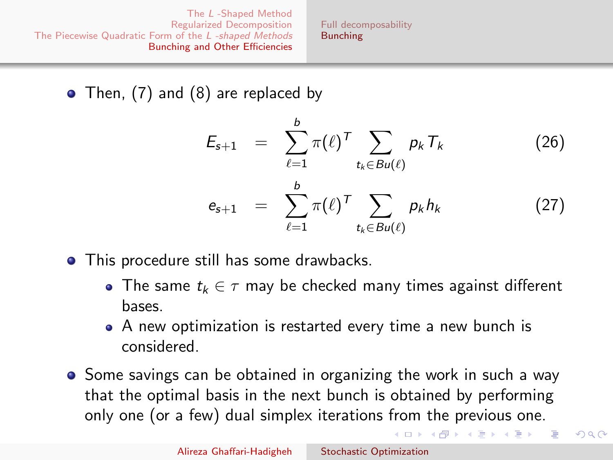[Full decomposability](#page-43-0) [Bunching](#page-46-0)

• Then, [\(7\)](#page-6-3) and [\(8\)](#page-6-2) are replaced by

$$
E_{s+1} = \sum_{\ell=1}^{b} \pi(\ell)^{\mathsf{T}} \sum_{t_k \in Bu(\ell)} p_k \mathsf{T}_k \qquad (26)
$$
  

$$
e_{s+1} = \sum_{\ell=1}^{b} \pi(\ell)^{\mathsf{T}} \sum_{t_k \in Bu(\ell)} p_k h_k \qquad (27)
$$

- This procedure still has some drawbacks.
	- The same  $t_k \in \tau$  may be checked many times against different bases.
	- A new optimization is restarted every time a new bunch is considered.
- **•** Some savings can be obtained in organizing the work in such a way that the optimal basis in the next bunch is obtained by performing only one (or a few) dual simplex iterations from the previous one.

イロメ イ何メ イヨメ イヨメー ヨ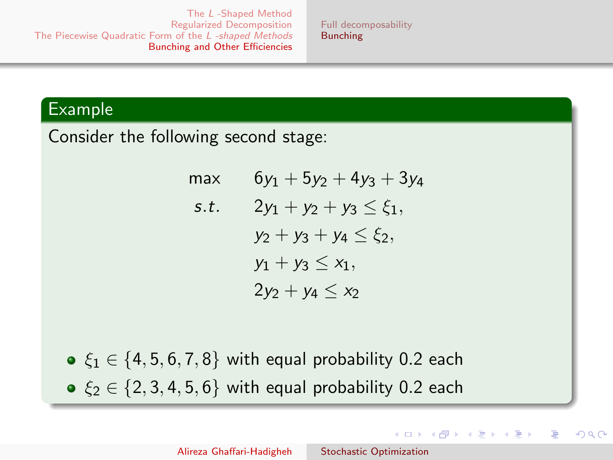[Full decomposability](#page-43-0) [Bunching](#page-46-0)

#### Example

Consider the following second stage:

max  $6y_1 + 5y_2 + 4y_3 + 3y_4$ s.t.  $2y_1 + y_2 + y_3 < \xi_1$ ,  $y_2 + y_3 + y_4 \leq \xi_2$  $y_1 + y_3 \leq x_1$ ,  $2y_2 + y_4 < x_2$ 

 $\bullet \xi_1 \in \{4, 5, 6, 7, 8\}$  with equal probability 0.2 each  $\bullet \xi_2 \in \{2, 3, 4, 5, 6\}$  with equal probability 0.2 each

イロメ イ何メ イヨメ イヨメ

つへへ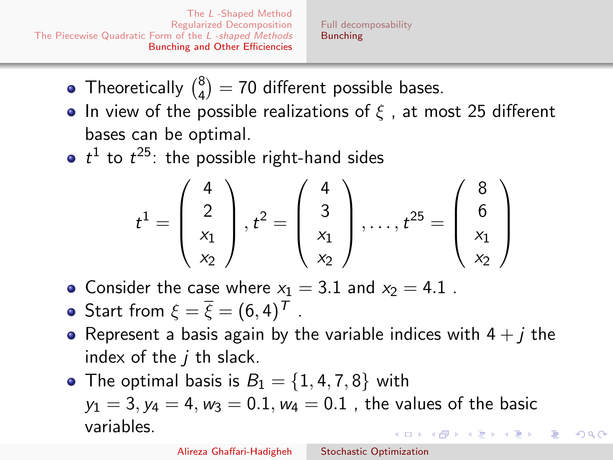[Full decomposability](#page-43-0) [Bunching](#page-46-0)

- Theoretically  $\binom{8}{4}$  $\binom{8}{4}$  = 70 different possible bases.
- In view of the possible realizations of  $\zeta$ , at most 25 different bases can be optimal.
- $t^1$  to  $t^{25}$ : the possible right-hand sides

$$
t^{1} = \begin{pmatrix} 4 \\ 2 \\ x_1 \\ x_2 \end{pmatrix}, t^{2} = \begin{pmatrix} 4 \\ 3 \\ x_1 \\ x_2 \end{pmatrix}, \dots, t^{25} = \begin{pmatrix} 8 \\ 6 \\ x_1 \\ x_2 \end{pmatrix}
$$

- Consider the case where  $x_1 = 3.1$  and  $x_2 = 4.1$ .
- Start from  $\xi = \overline{\xi} = (6, 4)^T$ .
- Represent a basis again by the variable indices with  $4 + i$  the index of the  $i$  th slack.
- The optimal basis is  $B_1 = \{1, 4, 7, 8\}$  with  $y_1 = 3$ ,  $y_4 = 4$ ,  $w_3 = 0.1$ ,  $w_4 = 0.1$ , the values of the basic variables.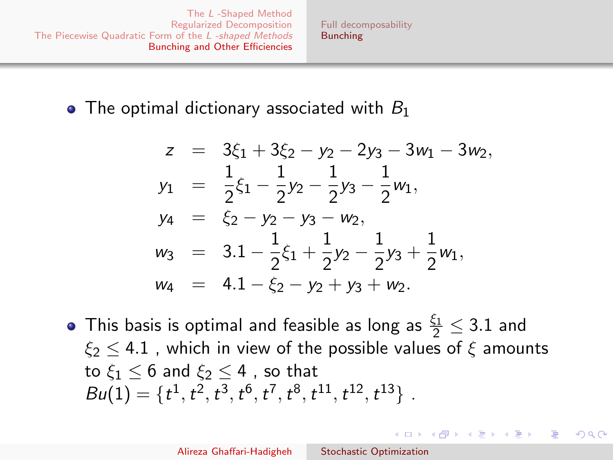[Full decomposability](#page-43-0) [Bunching](#page-46-0)

### <span id="page-50-0"></span> $\bullet$  The optimal dictionary associated with  $B_1$

$$
z = 3\xi_1 + 3\xi_2 - y_2 - 2y_3 - 3w_1 - 3w_2,
$$
  
\n
$$
y_1 = \frac{1}{2}\xi_1 - \frac{1}{2}y_2 - \frac{1}{2}y_3 - \frac{1}{2}w_1,
$$
  
\n
$$
y_4 = \xi_2 - y_2 - y_3 - w_2,
$$
  
\n
$$
w_3 = 3.1 - \frac{1}{2}\xi_1 + \frac{1}{2}y_2 - \frac{1}{2}y_3 + \frac{1}{2}w_1,
$$
  
\n
$$
w_4 = 4.1 - \xi_2 - y_2 + y_3 + w_2.
$$

This basis is optimal and feasible as long as  $\frac{\xi_1}{2} \leq 3.1$  and  $\xi_2$  < 4.1 , which in view of the possible values of  $\xi$  amounts to  $\xi_1$  < 6 and  $\xi_2$  < 4 , so that  $Bu(1) = \{t^1, t^2, t^3, t^6, t^7, t^8, t^{11}, t^{12}, t^{13}\}.$ 

 $\left\{ \begin{array}{ccc} 1 & 0 & 0 \\ 0 & 1 & 0 \end{array} \right.$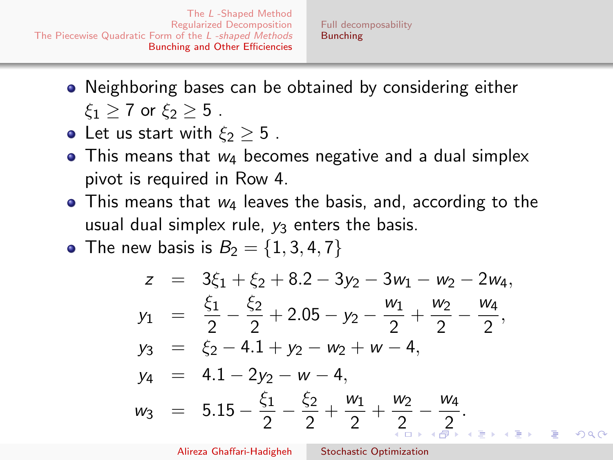- <span id="page-51-0"></span>Neighboring bases can be obtained by considering either  $\xi_1 \geq 7$  or  $\xi_2 \geq 5$ .
- Let us start with  $\xi_2 \geq 5$ .
- $\bullet$  This means that  $w_4$  becomes negative and a dual simplex pivot is required in Row 4.
- $\bullet$  This means that  $w_4$  leaves the basis, and, according to the usual dual simplex rule,  $y_3$  enters the basis.
- The new basis is  $B_2 = \{1, 3, 4, 7\}$

$$
z = 3\xi_1 + \xi_2 + 8.2 - 3y_2 - 3w_1 - w_2 - 2w_4,
$$
  
\n
$$
y_1 = \frac{\xi_1}{2} - \frac{\xi_2}{2} + 2.05 - y_2 - \frac{w_1}{2} + \frac{w_2}{2} - \frac{w_4}{2},
$$
  
\n
$$
y_3 = \xi_2 - 4.1 + y_2 - w_2 + w - 4,
$$
  
\n
$$
y_4 = 4.1 - 2y_2 - w - 4,
$$
  
\n
$$
w_3 = 5.15 - \frac{\xi_1}{2} - \frac{\xi_2}{2} + \frac{w_1}{2} + \frac{w_2}{2} - \frac{w_4}{2}.
$$